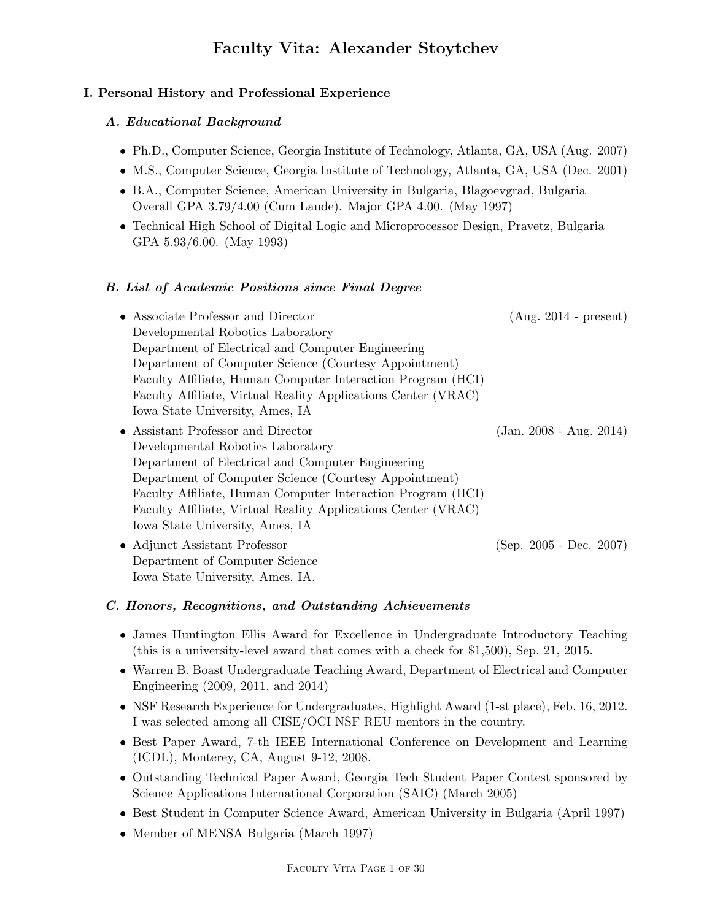## I. Personal History and Professional Experience

## A. Educational Background

- Ph.D., Computer Science, Georgia Institute of Technology, Atlanta, GA, USA (Aug. 2007)
- M.S., Computer Science, Georgia Institute of Technology, Atlanta, GA, USA (Dec. 2001)
- B.A., Computer Science, American University in Bulgaria, Blagoevgrad, Bulgaria Overall GPA 3.79/4.00 (Cum Laude). Major GPA 4.00. (May 1997)
- Technical High School of Digital Logic and Microprocessor Design, Pravetz, Bulgaria GPA 5.93/6.00. (May 1993)

## B. List of Academic Positions since Final Degree

- Associate Professor and Director (Aug. 2014 present) Developmental Robotics Laboratory Department of Electrical and Computer Engineering Department of Computer Science (Courtesy Appointment) Faculty Affiliate, Human Computer Interaction Program (HCI) Faculty Affiliate, Virtual Reality Applications Center (VRAC) Iowa State University, Ames, IA
- Assistant Professor and Director (Jan. 2008 Aug. 2014) Developmental Robotics Laboratory Department of Electrical and Computer Engineering Department of Computer Science (Courtesy Appointment) Faculty Affiliate, Human Computer Interaction Program (HCI) Faculty Affiliate, Virtual Reality Applications Center (VRAC) Iowa State University, Ames, IA
- Adjunct Assistant Professor (Sep. 2005 Dec. 2007) Department of Computer Science Iowa State University, Ames, IA.

## C. Honors, Recognitions, and Outstanding Achievements

- James Huntington Ellis Award for Excellence in Undergraduate Introductory Teaching (this is a university-level award that comes with a check for \$1,500), Sep. 21, 2015.
- Warren B. Boast Undergraduate Teaching Award, Department of Electrical and Computer Engineering (2009, 2011, and 2014)
- NSF Research Experience for Undergraduates, Highlight Award (1-st place), Feb. 16, 2012. I was selected among all CISE/OCI NSF REU mentors in the country.
- Best Paper Award, 7-th IEEE International Conference on Development and Learning (ICDL), Monterey, CA, August 9-12, 2008.
- Outstanding Technical Paper Award, Georgia Tech Student Paper Contest sponsored by Science Applications International Corporation (SAIC) (March 2005)
- Best Student in Computer Science Award, American University in Bulgaria (April 1997)
- Member of MENSA Bulgaria (March 1997)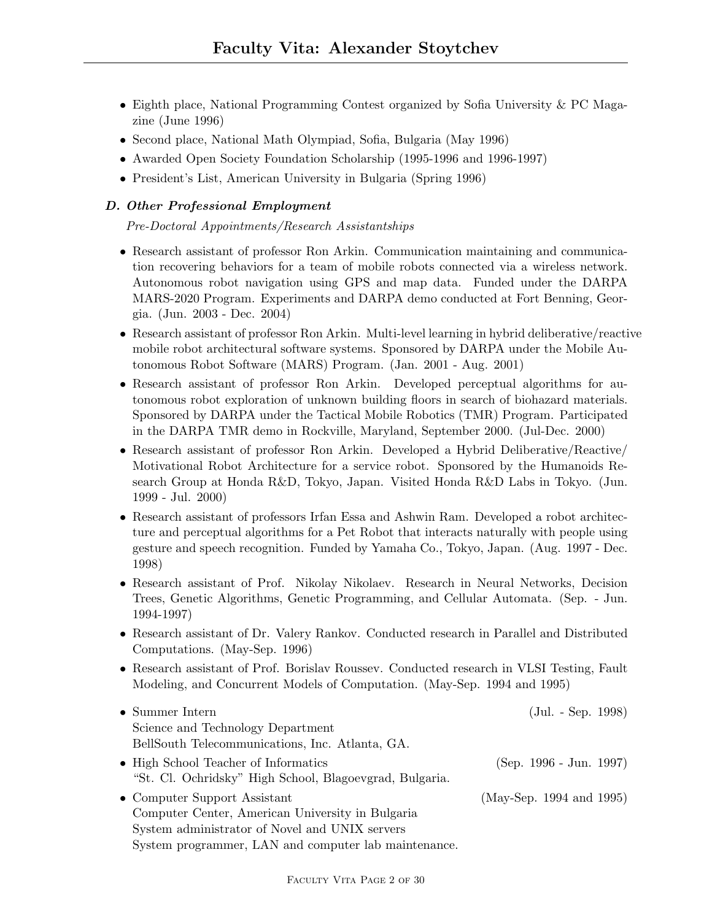- Eighth place, National Programming Contest organized by Sofia University & PC Magazine (June 1996)
- Second place, National Math Olympiad, Sofia, Bulgaria (May 1996)
- Awarded Open Society Foundation Scholarship (1995-1996 and 1996-1997)
- President's List, American University in Bulgaria (Spring 1996)

## D. Other Professional Employment

Pre-Doctoral Appointments/Research Assistantships

- Research assistant of professor Ron Arkin. Communication maintaining and communication recovering behaviors for a team of mobile robots connected via a wireless network. Autonomous robot navigation using GPS and map data. Funded under the DARPA MARS-2020 Program. Experiments and DARPA demo conducted at Fort Benning, Georgia. (Jun. 2003 - Dec. 2004)
- Research assistant of professor Ron Arkin. Multi-level learning in hybrid deliberative/reactive mobile robot architectural software systems. Sponsored by DARPA under the Mobile Autonomous Robot Software (MARS) Program. (Jan. 2001 - Aug. 2001)
- Research assistant of professor Ron Arkin. Developed perceptual algorithms for autonomous robot exploration of unknown building floors in search of biohazard materials. Sponsored by DARPA under the Tactical Mobile Robotics (TMR) Program. Participated in the DARPA TMR demo in Rockville, Maryland, September 2000. (Jul-Dec. 2000)
- Research assistant of professor Ron Arkin. Developed a Hybrid Deliberative/Reactive/ Motivational Robot Architecture for a service robot. Sponsored by the Humanoids Research Group at Honda R&D, Tokyo, Japan. Visited Honda R&D Labs in Tokyo. (Jun. 1999 - Jul. 2000)
- Research assistant of professors Irfan Essa and Ashwin Ram. Developed a robot architecture and perceptual algorithms for a Pet Robot that interacts naturally with people using gesture and speech recognition. Funded by Yamaha Co., Tokyo, Japan. (Aug. 1997 - Dec. 1998)
- Research assistant of Prof. Nikolay Nikolaev. Research in Neural Networks, Decision Trees, Genetic Algorithms, Genetic Programming, and Cellular Automata. (Sep. - Jun. 1994-1997)
- Research assistant of Dr. Valery Rankov. Conducted research in Parallel and Distributed Computations. (May-Sep. 1996)
- Research assistant of Prof. Borislav Roussev. Conducted research in VLSI Testing, Fault Modeling, and Concurrent Models of Computation. (May-Sep. 1994 and 1995)

| $\bullet$ Summer Intern                                 | $(Jul. - Sep. 1998)$      |
|---------------------------------------------------------|---------------------------|
| Science and Technology Department                       |                           |
| BellSouth Telecommunications, Inc. Atlanta, GA.         |                           |
| • High School Teacher of Informatics                    | $(Sep. 1996 - Jun. 1997)$ |
| "St. Cl. Ochridsky" High School, Blagoevgrad, Bulgaria. |                           |
| • Computer Support Assistant                            | (May-Sep. 1994 and 1995)  |
| Computer Center, American University in Bulgaria        |                           |
| System administrator of Novel and UNIX servers          |                           |

System programmer, LAN and computer lab maintenance.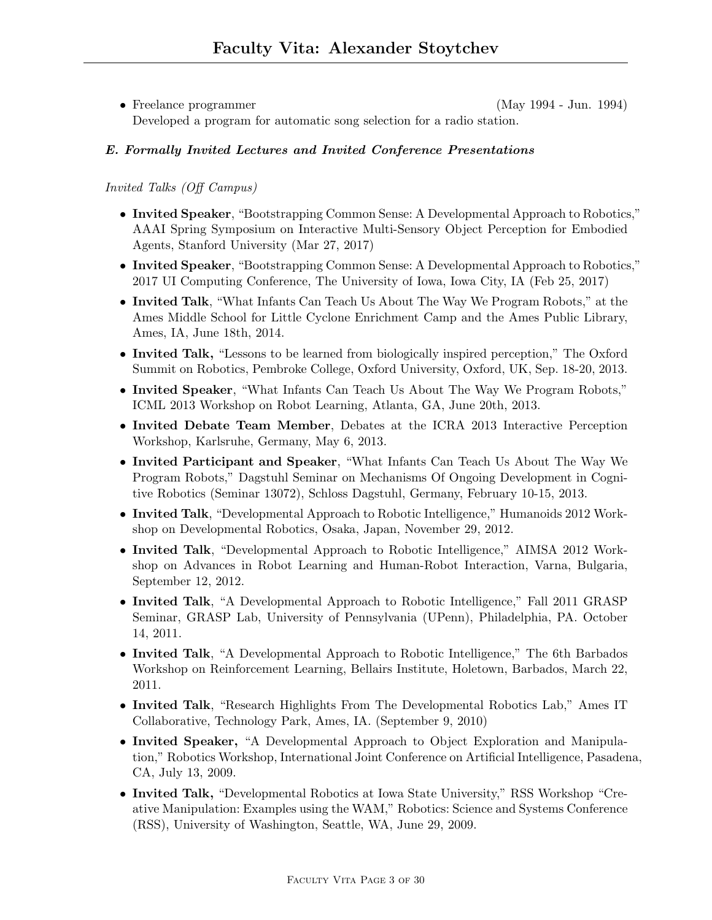• Freelance programmer (May 1994 - Jun. 1994) Developed a program for automatic song selection for a radio station.

## E. Formally Invited Lectures and Invited Conference Presentations

## Invited Talks (Off Campus)

- Invited Speaker, "Bootstrapping Common Sense: A Developmental Approach to Robotics," AAAI Spring Symposium on Interactive Multi-Sensory Object Perception for Embodied Agents, Stanford University (Mar 27, 2017)
- Invited Speaker, "Bootstrapping Common Sense: A Developmental Approach to Robotics," 2017 UI Computing Conference, The University of Iowa, Iowa City, IA (Feb 25, 2017)
- Invited Talk, "What Infants Can Teach Us About The Way We Program Robots," at the Ames Middle School for Little Cyclone Enrichment Camp and the Ames Public Library, Ames, IA, June 18th, 2014.
- Invited Talk, "Lessons to be learned from biologically inspired perception," The Oxford Summit on Robotics, Pembroke College, Oxford University, Oxford, UK, Sep. 18-20, 2013.
- Invited Speaker, "What Infants Can Teach Us About The Way We Program Robots," ICML 2013 Workshop on Robot Learning, Atlanta, GA, June 20th, 2013.
- Invited Debate Team Member, Debates at the ICRA 2013 Interactive Perception Workshop, Karlsruhe, Germany, May 6, 2013.
- Invited Participant and Speaker, "What Infants Can Teach Us About The Way We Program Robots," Dagstuhl Seminar on Mechanisms Of Ongoing Development in Cognitive Robotics (Seminar 13072), Schloss Dagstuhl, Germany, February 10-15, 2013.
- Invited Talk, "Developmental Approach to Robotic Intelligence," Humanoids 2012 Workshop on Developmental Robotics, Osaka, Japan, November 29, 2012.
- Invited Talk, "Developmental Approach to Robotic Intelligence," AIMSA 2012 Workshop on Advances in Robot Learning and Human-Robot Interaction, Varna, Bulgaria, September 12, 2012.
- Invited Talk, "A Developmental Approach to Robotic Intelligence," Fall 2011 GRASP Seminar, GRASP Lab, University of Pennsylvania (UPenn), Philadelphia, PA. October 14, 2011.
- Invited Talk, "A Developmental Approach to Robotic Intelligence," The 6th Barbados Workshop on Reinforcement Learning, Bellairs Institute, Holetown, Barbados, March 22, 2011.
- Invited Talk, "Research Highlights From The Developmental Robotics Lab," Ames IT Collaborative, Technology Park, Ames, IA. (September 9, 2010)
- Invited Speaker, "A Developmental Approach to Object Exploration and Manipulation," Robotics Workshop, International Joint Conference on Artificial Intelligence, Pasadena, CA, July 13, 2009.
- Invited Talk, "Developmental Robotics at Iowa State University," RSS Workshop "Creative Manipulation: Examples using the WAM," Robotics: Science and Systems Conference (RSS), University of Washington, Seattle, WA, June 29, 2009.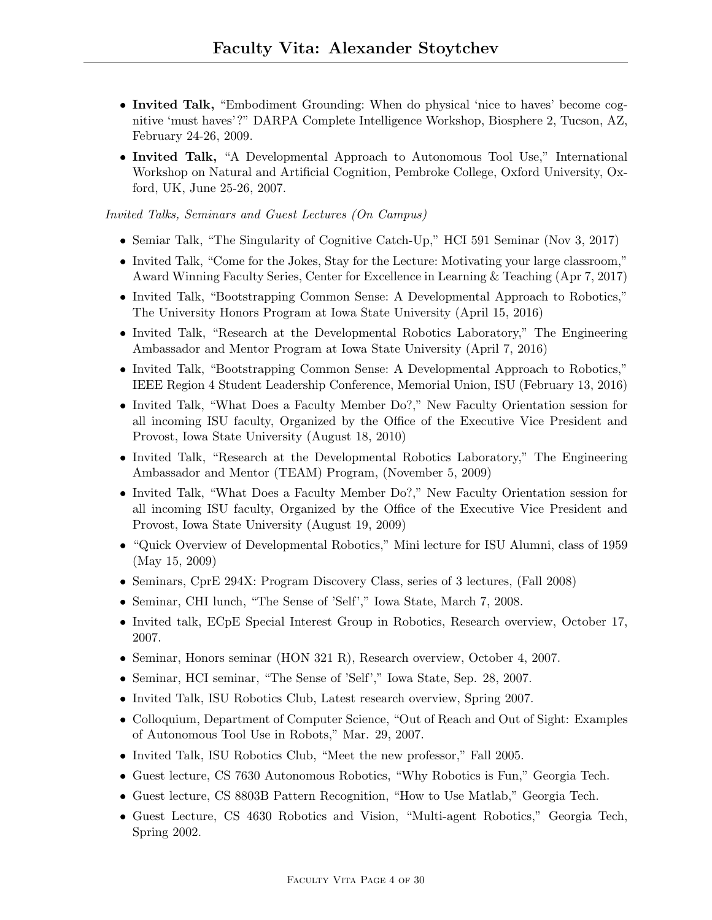- Invited Talk, "Embodiment Grounding: When do physical 'nice to haves' become cognitive 'must haves'?" DARPA Complete Intelligence Workshop, Biosphere 2, Tucson, AZ, February 24-26, 2009.
- Invited Talk, "A Developmental Approach to Autonomous Tool Use," International Workshop on Natural and Artificial Cognition, Pembroke College, Oxford University, Oxford, UK, June 25-26, 2007.

Invited Talks, Seminars and Guest Lectures (On Campus)

- Semiar Talk, "The Singularity of Cognitive Catch-Up," HCI 591 Seminar (Nov 3, 2017)
- Invited Talk, "Come for the Jokes, Stay for the Lecture: Motivating your large classroom," Award Winning Faculty Series, Center for Excellence in Learning & Teaching (Apr 7, 2017)
- Invited Talk, "Bootstrapping Common Sense: A Developmental Approach to Robotics," The University Honors Program at Iowa State University (April 15, 2016)
- Invited Talk, "Research at the Developmental Robotics Laboratory," The Engineering Ambassador and Mentor Program at Iowa State University (April 7, 2016)
- Invited Talk, "Bootstrapping Common Sense: A Developmental Approach to Robotics," IEEE Region 4 Student Leadership Conference, Memorial Union, ISU (February 13, 2016)
- Invited Talk, "What Does a Faculty Member Do?," New Faculty Orientation session for all incoming ISU faculty, Organized by the Office of the Executive Vice President and Provost, Iowa State University (August 18, 2010)
- Invited Talk, "Research at the Developmental Robotics Laboratory," The Engineering Ambassador and Mentor (TEAM) Program, (November 5, 2009)
- Invited Talk, "What Does a Faculty Member Do?," New Faculty Orientation session for all incoming ISU faculty, Organized by the Office of the Executive Vice President and Provost, Iowa State University (August 19, 2009)
- "Quick Overview of Developmental Robotics," Mini lecture for ISU Alumni, class of 1959 (May 15, 2009)
- Seminars, CprE 294X: Program Discovery Class, series of 3 lectures, (Fall 2008)
- Seminar, CHI lunch, "The Sense of 'Self'," Iowa State, March 7, 2008.
- Invited talk, ECpE Special Interest Group in Robotics, Research overview, October 17, 2007.
- Seminar, Honors seminar (HON 321 R), Research overview, October 4, 2007.
- Seminar, HCI seminar, "The Sense of 'Self'," Iowa State, Sep. 28, 2007.
- Invited Talk, ISU Robotics Club, Latest research overview, Spring 2007.
- Colloquium, Department of Computer Science, "Out of Reach and Out of Sight: Examples of Autonomous Tool Use in Robots," Mar. 29, 2007.
- Invited Talk, ISU Robotics Club, "Meet the new professor," Fall 2005.
- Guest lecture, CS 7630 Autonomous Robotics, "Why Robotics is Fun," Georgia Tech.
- Guest lecture, CS 8803B Pattern Recognition, "How to Use Matlab," Georgia Tech.
- Guest Lecture, CS 4630 Robotics and Vision, "Multi-agent Robotics," Georgia Tech, Spring 2002.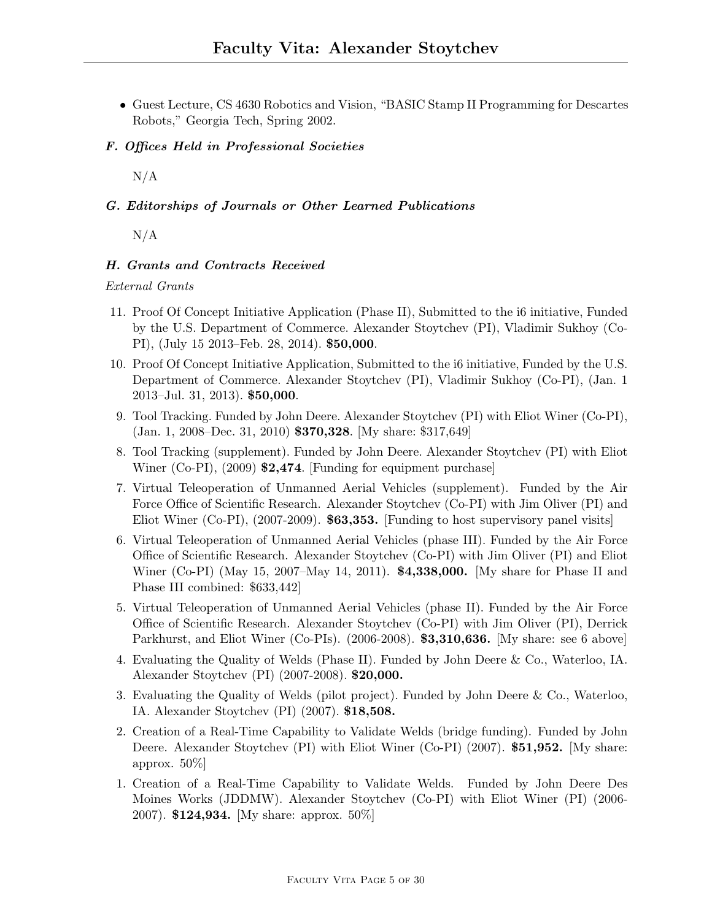• Guest Lecture, CS 4630 Robotics and Vision, "BASIC Stamp II Programming for Descartes Robots," Georgia Tech, Spring 2002.

## F. Offices Held in Professional Societies

 $N/A$ 

## G. Editorships of Journals or Other Learned Publications

 $N/A$ 

## H. Grants and Contracts Received

## External Grants

- 11. Proof Of Concept Initiative Application (Phase II), Submitted to the i6 initiative, Funded by the U.S. Department of Commerce. Alexander Stoytchev (PI), Vladimir Sukhoy (Co-PI), (July 15 2013–Feb. 28, 2014). \$50,000.
- 10. Proof Of Concept Initiative Application, Submitted to the i6 initiative, Funded by the U.S. Department of Commerce. Alexander Stoytchev (PI), Vladimir Sukhoy (Co-PI), (Jan. 1 2013–Jul. 31, 2013). \$50,000.
- 9. Tool Tracking. Funded by John Deere. Alexander Stoytchev (PI) with Eliot Winer (Co-PI), (Jan. 1, 2008–Dec. 31, 2010) \$370,328. [My share: \$317,649]
- 8. Tool Tracking (supplement). Funded by John Deere. Alexander Stoytchev (PI) with Eliot Winer (Co-PI), (2009) \$2,474. [Funding for equipment purchase]
- 7. Virtual Teleoperation of Unmanned Aerial Vehicles (supplement). Funded by the Air Force Office of Scientific Research. Alexander Stoytchev (Co-PI) with Jim Oliver (PI) and Eliot Winer (Co-PI), (2007-2009). \$63,353. [Funding to host supervisory panel visits]
- 6. Virtual Teleoperation of Unmanned Aerial Vehicles (phase III). Funded by the Air Force Office of Scientific Research. Alexander Stoytchev (Co-PI) with Jim Oliver (PI) and Eliot Winer (Co-PI) (May 15, 2007–May 14, 2011). **\$4,338,000.** [My share for Phase II and Phase III combined: \$633,442]
- 5. Virtual Teleoperation of Unmanned Aerial Vehicles (phase II). Funded by the Air Force Office of Scientific Research. Alexander Stoytchev (Co-PI) with Jim Oliver (PI), Derrick Parkhurst, and Eliot Winer (Co-PIs). (2006-2008). **\$3,310,636.** [My share: see 6 above]
- 4. Evaluating the Quality of Welds (Phase II). Funded by John Deere & Co., Waterloo, IA. Alexander Stoytchev (PI) (2007-2008). \$20,000.
- 3. Evaluating the Quality of Welds (pilot project). Funded by John Deere & Co., Waterloo, IA. Alexander Stoytchev (PI) (2007). \$18,508.
- 2. Creation of a Real-Time Capability to Validate Welds (bridge funding). Funded by John Deere. Alexander Stoytchev (PI) with Eliot Winer (Co-PI) (2007). \$51,952. [My share: approx. 50%]
- 1. Creation of a Real-Time Capability to Validate Welds. Funded by John Deere Des Moines Works (JDDMW). Alexander Stoytchev (Co-PI) with Eliot Winer (PI) (2006- 2007). \$124,934. [My share: approx.  $50\%$ ]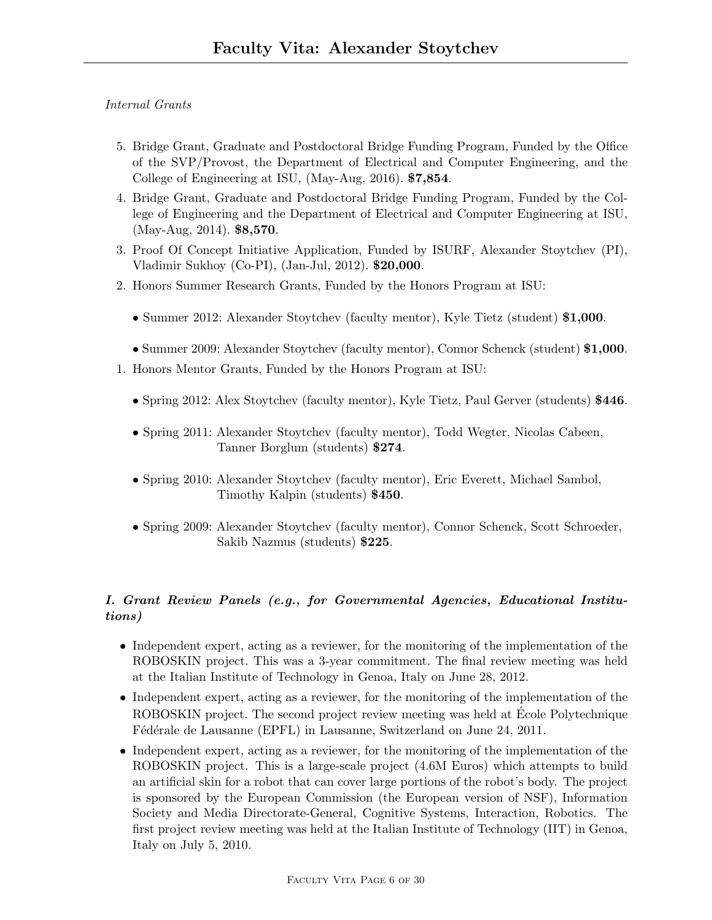## Internal Grants

- 5. Bridge Grant, Graduate and Postdoctoral Bridge Funding Program, Funded by the Office of the SVP/Provost, the Department of Electrical and Computer Engineering, and the College of Engineering at ISU, (May-Aug, 2016). \$7,854.
- 4. Bridge Grant, Graduate and Postdoctoral Bridge Funding Program, Funded by the College of Engineering and the Department of Electrical and Computer Engineering at ISU, (May-Aug, 2014). \$8,570.
- 3. Proof Of Concept Initiative Application, Funded by ISURF, Alexander Stoytchev (PI), Vladimir Sukhoy (Co-PI), (Jan-Jul, 2012). \$20,000.
- 2. Honors Summer Research Grants, Funded by the Honors Program at ISU:
	- Summer 2012: Alexander Stoytchev (faculty mentor), Kyle Tietz (student) \$1,000.
	- Summer 2009: Alexander Stoytchev (faculty mentor), Connor Schenck (student) \$1,000.
- 1. Honors Mentor Grants, Funded by the Honors Program at ISU:
	- Spring 2012: Alex Stoytchev (faculty mentor), Kyle Tietz, Paul Gerver (students) \$446.
	- Spring 2011: Alexander Stoytchev (faculty mentor), Todd Wegter, Nicolas Cabeen, Tanner Borglum (students) \$274.
	- Spring 2010: Alexander Stoytchev (faculty mentor), Eric Everett, Michael Sambol, Timothy Kalpin (students) \$450.
	- Spring 2009: Alexander Stoytchev (faculty mentor), Connor Schenck, Scott Schroeder, Sakib Nazmus (students) \$225.

# I. Grant Review Panels (e.g., for Governmental Agencies, Educational Institutions)

- Independent expert, acting as a reviewer, for the monitoring of the implementation of the ROBOSKIN project. This was a 3-year commitment. The final review meeting was held at the Italian Institute of Technology in Genoa, Italy on June 28, 2012.
- Independent expert, acting as a reviewer, for the monitoring of the implementation of the ROBOSKIN project. The second project review meeting was held at Ecole Polytechnique Fédérale de Lausanne (EPFL) in Lausanne, Switzerland on June 24, 2011.
- Independent expert, acting as a reviewer, for the monitoring of the implementation of the ROBOSKIN project. This is a large-scale project (4.6M Euros) which attempts to build an artificial skin for a robot that can cover large portions of the robot's body. The project is sponsored by the European Commission (the European version of NSF), Information Society and Media Directorate-General, Cognitive Systems, Interaction, Robotics. The first project review meeting was held at the Italian Institute of Technology (IIT) in Genoa, Italy on July 5, 2010.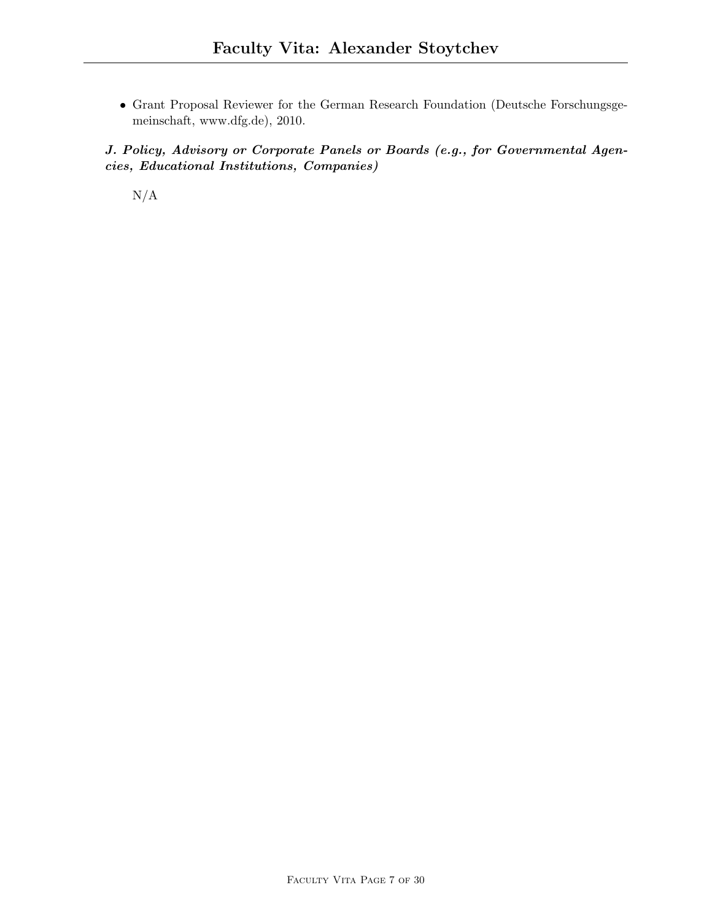• Grant Proposal Reviewer for the German Research Foundation (Deutsche Forschungsgemeinschaft, www.dfg.de), 2010.

J. Policy, Advisory or Corporate Panels or Boards (e.g., for Governmental Agencies, Educational Institutions, Companies)

N/A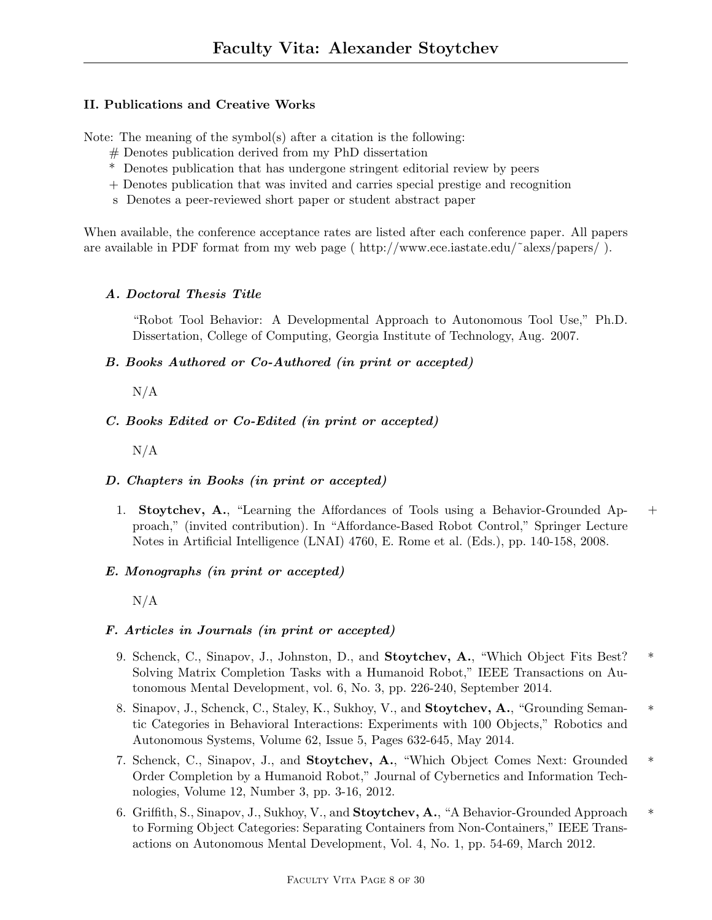## II. Publications and Creative Works

Note: The meaning of the symbol(s) after a citation is the following:

- # Denotes publication derived from my PhD dissertation
- \* Denotes publication that has undergone stringent editorial review by peers
- + Denotes publication that was invited and carries special prestige and recognition
- s Denotes a peer-reviewed short paper or student abstract paper

When available, the conference acceptance rates are listed after each conference paper. All papers are available in PDF format from my web page ( http://www.ece.iastate.edu/˜alexs/papers/ ).

## A. Doctoral Thesis Title

"Robot Tool Behavior: A Developmental Approach to Autonomous Tool Use," Ph.D. Dissertation, College of Computing, Georgia Institute of Technology, Aug. 2007.

B. Books Authored or Co-Authored (in print or accepted)

N/A

# C. Books Edited or Co-Edited (in print or accepted)

 $N/A$ 

# D. Chapters in Books (in print or accepted)

1. Stoytchev, A., "Learning the Affordances of Tools using a Behavior-Grounded Ap- + proach," (invited contribution). In "Affordance-Based Robot Control," Springer Lecture Notes in Artificial Intelligence (LNAI) 4760, E. Rome et al. (Eds.), pp. 140-158, 2008.

# E. Monographs (in print or accepted)

 $N/A$ 

## F. Articles in Journals (in print or accepted)

- 9. Schenck, C., Sinapov, J., Johnston, D., and Stoytchev, A., "Which Object Fits Best? \* Solving Matrix Completion Tasks with a Humanoid Robot," IEEE Transactions on Autonomous Mental Development, vol. 6, No. 3, pp. 226-240, September 2014.
- 8. Sinapov, J., Schenck, C., Staley, K., Sukhoy, V., and **Stoytchev, A.**, "Grounding Semantic Categories in Behavioral Interactions: Experiments with 100 Objects," Robotics and Autonomous Systems, Volume 62, Issue 5, Pages 632-645, May 2014.
- 7. Schenck, C., Sinapov, J., and Stoytchev, A., "Which Object Comes Next: Grounded \* Order Completion by a Humanoid Robot," Journal of Cybernetics and Information Technologies, Volume 12, Number 3, pp. 3-16, 2012.
- 6. Griffith, S., Sinapov, J., Sukhoy, V., and **Stoytchev, A.**, "A Behavior-Grounded Approach  $*$ to Forming Object Categories: Separating Containers from Non-Containers," IEEE Transactions on Autonomous Mental Development, Vol. 4, No. 1, pp. 54-69, March 2012.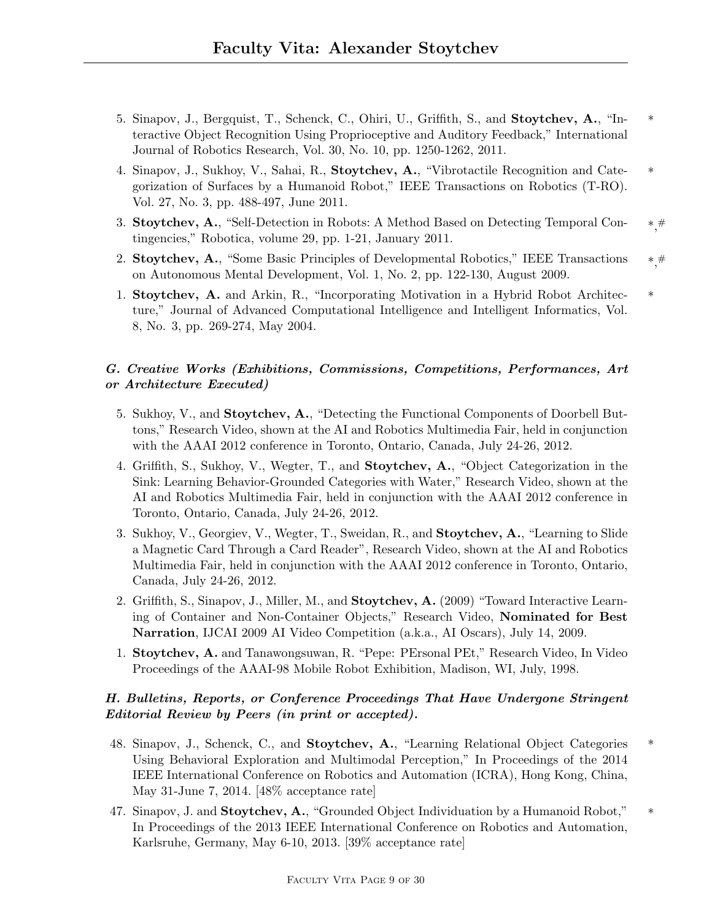- 5. Sinapov, J., Bergquist, T., Schenck, C., Ohiri, U., Griffith, S., and Stoytchev, A., "In- \* teractive Object Recognition Using Proprioceptive and Auditory Feedback," International Journal of Robotics Research, Vol. 30, No. 10, pp. 1250-1262, 2011.
- 4. Sinapov, J., Sukhoy, V., Sahai, R., Stoytchev, A., "Vibrotactile Recognition and Cate- \* gorization of Surfaces by a Humanoid Robot," IEEE Transactions on Robotics (T-RO). Vol. 27, No. 3, pp. 488-497, June 2011.
- $^{\ast, \#}$ 3. Stoytchev, A., "Self-Detection in Robots: A Method Based on Detecting Temporal Con- # tingencies," Robotica, volume 29, pp. 1-21, January 2011.
- \*, 2. Stoytchev, A., "Some Basic Principles of Developmental Robotics," IEEE Transactions # on Autonomous Mental Development, Vol. 1, No. 2, pp. 122-130, August 2009.
- 1. Stoytchev, A. and Arkin, R., "Incorporating Motivation in a Hybrid Robot Architec- \* ture," Journal of Advanced Computational Intelligence and Intelligent Informatics, Vol. 8, No. 3, pp. 269-274, May 2004.

## G. Creative Works (Exhibitions, Commissions, Competitions, Performances, Art or Architecture Executed)

- 5. Sukhoy, V., and Stoytchev, A., "Detecting the Functional Components of Doorbell Buttons," Research Video, shown at the AI and Robotics Multimedia Fair, held in conjunction with the AAAI 2012 conference in Toronto, Ontario, Canada, July 24-26, 2012.
- 4. Griffith, S., Sukhoy, V., Wegter, T., and Stoytchev, A., "Object Categorization in the Sink: Learning Behavior-Grounded Categories with Water," Research Video, shown at the AI and Robotics Multimedia Fair, held in conjunction with the AAAI 2012 conference in Toronto, Ontario, Canada, July 24-26, 2012.
- 3. Sukhoy, V., Georgiev, V., Wegter, T., Sweidan, R., and Stoytchev, A., "Learning to Slide a Magnetic Card Through a Card Reader", Research Video, shown at the AI and Robotics Multimedia Fair, held in conjunction with the AAAI 2012 conference in Toronto, Ontario, Canada, July 24-26, 2012.
- 2. Griffith, S., Sinapov, J., Miller, M., and **Stoytchev, A.** (2009) "Toward Interactive Learning of Container and Non-Container Objects," Research Video, Nominated for Best Narration, IJCAI 2009 AI Video Competition (a.k.a., AI Oscars), July 14, 2009.
- 1. Stoytchev, A. and Tanawongsuwan, R. "Pepe: PErsonal PEt," Research Video, In Video Proceedings of the AAAI-98 Mobile Robot Exhibition, Madison, WI, July, 1998.

# H. Bulletins, Reports, or Conference Proceedings That Have Undergone Stringent Editorial Review by Peers (in print or accepted).

- 48. Sinapov, J., Schenck, C., and Stoytchev, A., "Learning Relational Object Categories \* Using Behavioral Exploration and Multimodal Perception," In Proceedings of the 2014 IEEE International Conference on Robotics and Automation (ICRA), Hong Kong, China, May 31-June 7, 2014. [48% acceptance rate]
- 47. Sinapov, J. and Stoytchev, A., "Grounded Object Individuation by a Humanoid Robot," In Proceedings of the 2013 IEEE International Conference on Robotics and Automation, Karlsruhe, Germany, May 6-10, 2013. [39% acceptance rate]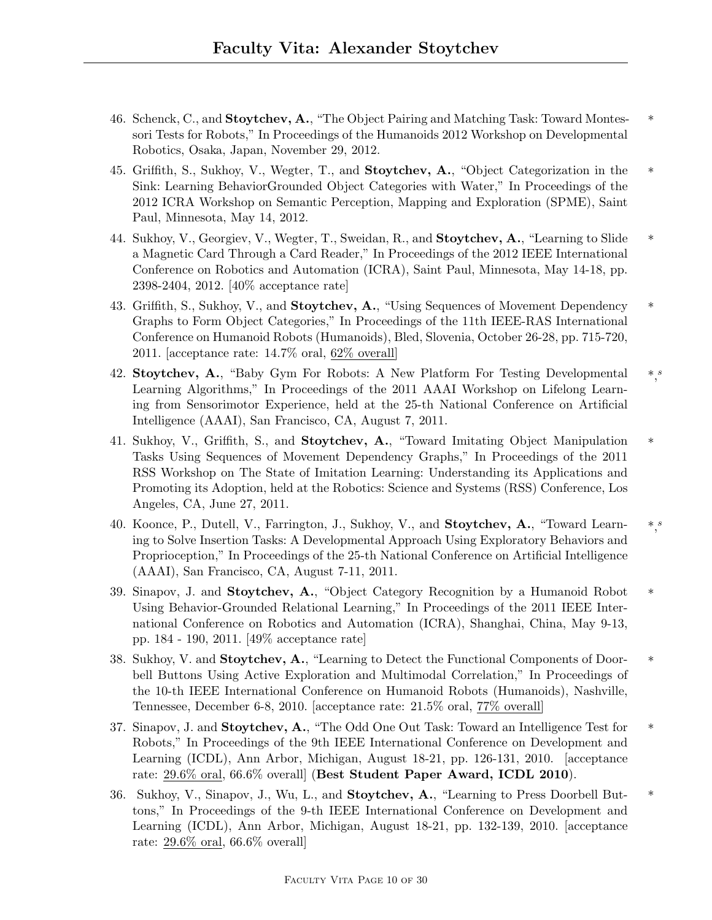- 46. Schenck, C., and Stoytchev, A., "The Object Pairing and Matching Task: Toward Montes- \* sori Tests for Robots," In Proceedings of the Humanoids 2012 Workshop on Developmental Robotics, Osaka, Japan, November 29, 2012.
- 45. Griffith, S., Sukhoy, V., Wegter, T., and **Stoytchev, A.**, "Object Categorization in the \* Sink: Learning BehaviorGrounded Object Categories with Water," In Proceedings of the 2012 ICRA Workshop on Semantic Perception, Mapping and Exploration (SPME), Saint Paul, Minnesota, May 14, 2012.
- 44. Sukhoy, V., Georgiev, V., Wegter, T., Sweidan, R., and Stoytchev, A., "Learning to Slide \* a Magnetic Card Through a Card Reader," In Proceedings of the 2012 IEEE International Conference on Robotics and Automation (ICRA), Saint Paul, Minnesota, May 14-18, pp. 2398-2404, 2012. [40% acceptance rate]
- 43. Griffith, S., Sukhoy, V., and **Stoytchev, A.**, "Using Sequences of Movement Dependency \* Graphs to Form Object Categories," In Proceedings of the 11th IEEE-RAS International Conference on Humanoid Robots (Humanoids), Bled, Slovenia, October 26-28, pp. 715-720, 2011. [acceptance rate: 14.7% oral, 62% overall]
- 42. Stoytchev, A., "Baby Gym For Robots: A New Platform For Testing Developmental  $\ast$ ," Learning Algorithms," In Proceedings of the 2011 AAAI Workshop on Lifelong Learning from Sensorimotor Experience, held at the 25-th National Conference on Artificial Intelligence (AAAI), San Francisco, CA, August 7, 2011.
- 41. Sukhoy, V., Griffith, S., and Stoytchev, A., "Toward Imitating Object Manipulation \* Tasks Using Sequences of Movement Dependency Graphs," In Proceedings of the 2011 RSS Workshop on The State of Imitation Learning: Understanding its Applications and Promoting its Adoption, held at the Robotics: Science and Systems (RSS) Conference, Los Angeles, CA, June 27, 2011.
- 40. Koonce, P., Dutell, V., Farrington, J., Sukhoy, V., and Stoytchev, A., "Toward Learn- $*,$ ing to Solve Insertion Tasks: A Developmental Approach Using Exploratory Behaviors and Proprioception," In Proceedings of the 25-th National Conference on Artificial Intelligence (AAAI), San Francisco, CA, August 7-11, 2011.
- 39. Sinapov, J. and **Stoytchev, A.**, "Object Category Recognition by a Humanoid Robot \* Using Behavior-Grounded Relational Learning," In Proceedings of the 2011 IEEE International Conference on Robotics and Automation (ICRA), Shanghai, China, May 9-13, pp. 184 - 190, 2011. [49% acceptance rate]
- 38. Sukhoy, V. and Stoytchev, A., "Learning to Detect the Functional Components of Door- \* bell Buttons Using Active Exploration and Multimodal Correlation," In Proceedings of the 10-th IEEE International Conference on Humanoid Robots (Humanoids), Nashville, Tennessee, December 6-8, 2010. [acceptance rate: 21.5% oral, 77% overall]
- 37. Sinapov, J. and Stoytchev, A., "The Odd One Out Task: Toward an Intelligence Test for  $*$ Robots," In Proceedings of the 9th IEEE International Conference on Development and Learning (ICDL), Ann Arbor, Michigan, August 18-21, pp. 126-131, 2010. [acceptance rate: 29.6% oral, 66.6% overall] (Best Student Paper Award, ICDL 2010).
- 36. Sukhoy, V., Sinapov, J., Wu, L., and Stoytchev, A., "Learning to Press Doorbell But- \* tons," In Proceedings of the 9-th IEEE International Conference on Development and Learning (ICDL), Ann Arbor, Michigan, August 18-21, pp. 132-139, 2010. [acceptance rate: 29.6% oral, 66.6% overall]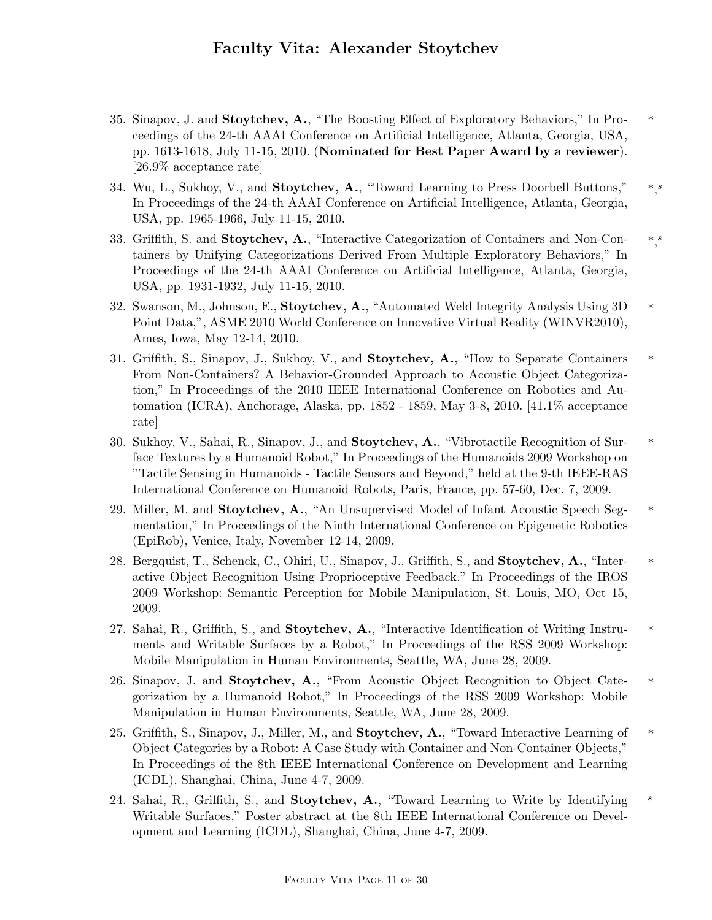- 35. Sinapov, J. and Stoytchev, A., "The Boosting Effect of Exploratory Behaviors," In Pro- \* ceedings of the 24-th AAAI Conference on Artificial Intelligence, Atlanta, Georgia, USA, pp. 1613-1618, July 11-15, 2010. (Nominated for Best Paper Award by a reviewer). [26.9% acceptance rate]
- 34. Wu, L., Sukhoy, V., and Stoytchev, A., "Toward Learning to Press Doorbell Buttons," In Proceedings of the 24-th AAAI Conference on Artificial Intelligence, Atlanta, Georgia, USA, pp. 1965-1966, July 11-15, 2010.
- 33. Griffith, S. and Stoytchev, A., "Interactive Categorization of Containers and Non-Con- $*,$ tainers by Unifying Categorizations Derived From Multiple Exploratory Behaviors," In Proceedings of the 24-th AAAI Conference on Artificial Intelligence, Atlanta, Georgia, USA, pp. 1931-1932, July 11-15, 2010.
- 32. Swanson, M., Johnson, E., Stoytchev, A., "Automated Weld Integrity Analysis Using 3D \* Point Data,", ASME 2010 World Conference on Innovative Virtual Reality (WINVR2010), Ames, Iowa, May 12-14, 2010.
- 31. Griffith, S., Sinapov, J., Sukhoy, V., and **Stoytchev, A.**, "How to Separate Containers \* From Non-Containers? A Behavior-Grounded Approach to Acoustic Object Categorization," In Proceedings of the 2010 IEEE International Conference on Robotics and Automation (ICRA), Anchorage, Alaska, pp. 1852 - 1859, May 3-8, 2010. [41.1% acceptance rate]
- 30. Sukhoy, V., Sahai, R., Sinapov, J., and Stoytchev, A., "Vibrotactile Recognition of Sur- \* face Textures by a Humanoid Robot," In Proceedings of the Humanoids 2009 Workshop on "Tactile Sensing in Humanoids - Tactile Sensors and Beyond," held at the 9-th IEEE-RAS International Conference on Humanoid Robots, Paris, France, pp. 57-60, Dec. 7, 2009.
- 29. Miller, M. and Stoytchev, A., "An Unsupervised Model of Infant Acoustic Speech Segmentation," In Proceedings of the Ninth International Conference on Epigenetic Robotics (EpiRob), Venice, Italy, November 12-14, 2009.
- 28. Bergquist, T., Schenck, C., Ohiri, U., Sinapov, J., Griffith, S., and Stoytchev, A., "Inter- \* active Object Recognition Using Proprioceptive Feedback," In Proceedings of the IROS 2009 Workshop: Semantic Perception for Mobile Manipulation, St. Louis, MO, Oct 15, 2009.
- 27. Sahai, R., Griffith, S., and **Stoytchev, A.**, "Interactive Identification of Writing Instruments and Writable Surfaces by a Robot," In Proceedings of the RSS 2009 Workshop: Mobile Manipulation in Human Environments, Seattle, WA, June 28, 2009.
- 26. Sinapov, J. and Stoytchev, A., "From Acoustic Object Recognition to Object Cate- \* gorization by a Humanoid Robot," In Proceedings of the RSS 2009 Workshop: Mobile Manipulation in Human Environments, Seattle, WA, June 28, 2009.
- 25. Griffith, S., Sinapov, J., Miller, M., and **Stoytchev, A.**, "Toward Interactive Learning of \* Object Categories by a Robot: A Case Study with Container and Non-Container Objects," In Proceedings of the 8th IEEE International Conference on Development and Learning (ICDL), Shanghai, China, June 4-7, 2009.
- 24. Sahai, R., Griffith, S., and **Stoytchev, A.**, "Toward Learning to Write by Identifying  $s$ Writable Surfaces," Poster abstract at the 8th IEEE International Conference on Development and Learning (ICDL), Shanghai, China, June 4-7, 2009.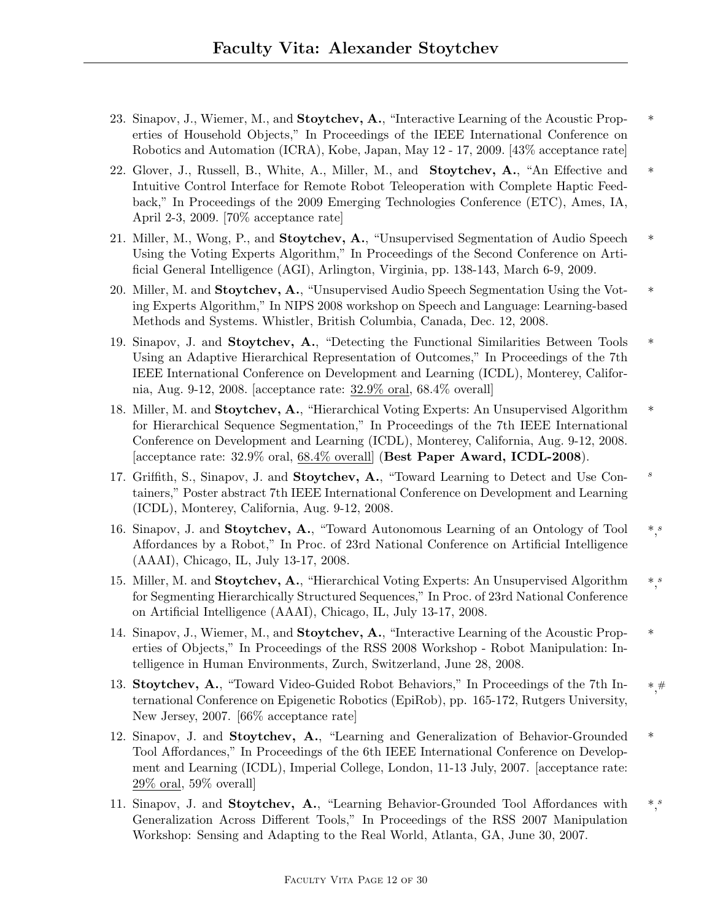- 23. Sinapov, J., Wiemer, M., and Stoytchev, A., "Interactive Learning of the Acoustic Properties of Household Objects," In Proceedings of the IEEE International Conference on Robotics and Automation (ICRA), Kobe, Japan, May 12 - 17, 2009. [43% acceptance rate]
- 22. Glover, J., Russell, B., White, A., Miller, M., and **Stoytchev, A.**, "An Effective and \* Intuitive Control Interface for Remote Robot Teleoperation with Complete Haptic Feedback," In Proceedings of the 2009 Emerging Technologies Conference (ETC), Ames, IA, April 2-3, 2009. [70% acceptance rate]
- 21. Miller, M., Wong, P., and **Stoytchev, A.**, "Unsupervised Segmentation of Audio Speech  $*$ Using the Voting Experts Algorithm," In Proceedings of the Second Conference on Artificial General Intelligence (AGI), Arlington, Virginia, pp. 138-143, March 6-9, 2009.
- 20. Miller, M. and Stoytchev, A., "Unsupervised Audio Speech Segmentation Using the Voting Experts Algorithm," In NIPS 2008 workshop on Speech and Language: Learning-based Methods and Systems. Whistler, British Columbia, Canada, Dec. 12, 2008.
- 19. Sinapov, J. and Stoytchev, A., "Detecting the Functional Similarities Between Tools \* Using an Adaptive Hierarchical Representation of Outcomes," In Proceedings of the 7th IEEE International Conference on Development and Learning (ICDL), Monterey, California, Aug. 9-12, 2008. [acceptance rate: 32.9% oral, 68.4% overall]
- 18. Miller, M. and Stoytchev, A., "Hierarchical Voting Experts: An Unsupervised Algorithm  $*$ for Hierarchical Sequence Segmentation," In Proceedings of the 7th IEEE International Conference on Development and Learning (ICDL), Monterey, California, Aug. 9-12, 2008. [acceptance rate: 32.9% oral, 68.4% overall] (Best Paper Award, ICDL-2008).
- 17. Griffith, S., Sinapov, J. and Stoytchev, A., "Toward Learning to Detect and Use Containers," Poster abstract 7th IEEE International Conference on Development and Learning (ICDL), Monterey, California, Aug. 9-12, 2008.
- 16. Sinapov, J. and Stoytchev, A., "Toward Autonomous Learning of an Ontology of Tool  $\ast s$ Affordances by a Robot," In Proc. of 23rd National Conference on Artificial Intelligence (AAAI), Chicago, IL, July 13-17, 2008.
- 15. Miller, M. and Stoytchev, A., "Hierarchical Voting Experts: An Unsupervised Algorithm  $\ast$ ," for Segmenting Hierarchically Structured Sequences," In Proc. of 23rd National Conference on Artificial Intelligence (AAAI), Chicago, IL, July 13-17, 2008.
- 14. Sinapov, J., Wiemer, M., and Stoytchev, A., "Interactive Learning of the Acoustic Properties of Objects," In Proceedings of the RSS 2008 Workshop - Robot Manipulation: Intelligence in Human Environments, Zurch, Switzerland, June 28, 2008.
- \*, 13. Stoytchev, A., "Toward Video-Guided Robot Behaviors," In Proceedings of the 7th International Conference on Epigenetic Robotics (EpiRob), pp. 165-172, Rutgers University, New Jersey, 2007. [66% acceptance rate]
- 12. Sinapov, J. and Stoytchev, A., "Learning and Generalization of Behavior-Grounded \* Tool Affordances," In Proceedings of the 6th IEEE International Conference on Development and Learning (ICDL), Imperial College, London, 11-13 July, 2007. [acceptance rate: 29% oral, 59% overall]
- $*,$ 11. Sinapov, J. and Stoytchev, A., "Learning Behavior-Grounded Tool Affordances with Generalization Across Different Tools," In Proceedings of the RSS 2007 Manipulation Workshop: Sensing and Adapting to the Real World, Atlanta, GA, June 30, 2007.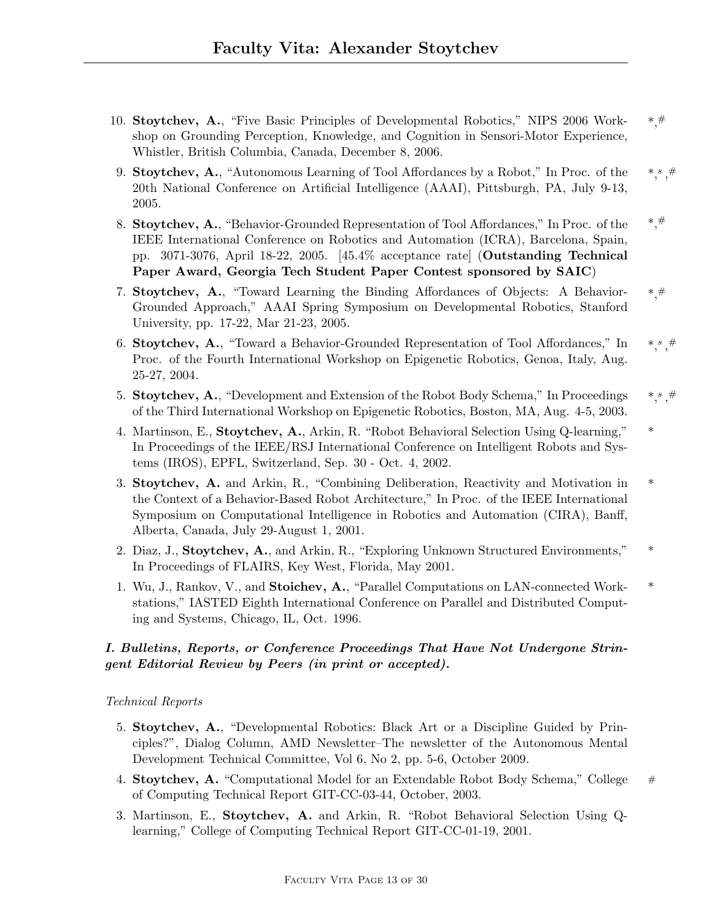- 10. Stoytchev, A., "Five Basic Principles of Developmental Robotics," NIPS 2006 Work-  $*$ # shop on Grounding Perception, Knowledge, and Cognition in Sensori-Motor Experience, Whistler, British Columbia, Canada, December 8, 2006.
- $*,^s$ 9. Stoytchev, A., "Autonomous Learning of Tool Affordances by a Robot," In Proc. of the 20th National Conference on Artificial Intelligence (AAAI), Pittsburgh, PA, July 9-13, 2005.
- \*, 8. Stoytchev, A., "Behavior-Grounded Representation of Tool Affordances," In Proc. of the IEEE International Conference on Robotics and Automation (ICRA), Barcelona, Spain, pp. 3071-3076, April 18-22, 2005. [45.4% acceptance rate] (Outstanding Technical Paper Award, Georgia Tech Student Paper Contest sponsored by SAIC)
- 7. Stoytchev, A., "Toward Learning the Binding Affordances of Objects: A Behavior-  $*,\#$ Grounded Approach," AAAI Spring Symposium on Developmental Robotics, Stanford University, pp. 17-22, Mar 21-23, 2005.
- \*, s 6. Stoytchev, A., "Toward a Behavior-Grounded Representation of Tool Affordances," In Proc. of the Fourth International Workshop on Epigenetic Robotics, Genoa, Italy, Aug. 25-27, 2004.
- \*, s 5. Stoytchev, A., "Development and Extension of the Robot Body Schema," In Proceedings of the Third International Workshop on Epigenetic Robotics, Boston, MA, Aug. 4-5, 2003.
- 4. Martinson, E., Stoytchev, A., Arkin, R. "Robot Behavioral Selection Using Q-learning," \* In Proceedings of the IEEE/RSJ International Conference on Intelligent Robots and Systems (IROS), EPFL, Switzerland, Sep. 30 - Oct. 4, 2002.
- 3. Stoytchev, A. and Arkin, R., "Combining Deliberation, Reactivity and Motivation in \* the Context of a Behavior-Based Robot Architecture," In Proc. of the IEEE International Symposium on Computational Intelligence in Robotics and Automation (CIRA), Banff, Alberta, Canada, July 29-August 1, 2001.
- 2. Diaz, J., Stoytchev, A., and Arkin, R., "Exploring Unknown Structured Environments," In Proceedings of FLAIRS, Key West, Florida, May 2001.
- 1. Wu, J., Rankov, V., and Stoichev, A., "Parallel Computations on LAN-connected Work- \* stations," IASTED Eighth International Conference on Parallel and Distributed Computing and Systems, Chicago, IL, Oct. 1996.

# I. Bulletins, Reports, or Conference Proceedings That Have Not Undergone Stringent Editorial Review by Peers (in print or accepted).

## Technical Reports

- 5. Stoytchev, A., "Developmental Robotics: Black Art or a Discipline Guided by Principles?", Dialog Column, AMD Newsletter–The newsletter of the Autonomous Mental Development Technical Committee, Vol 6, No 2, pp. 5-6, October 2009.
- 4. Stoytchev, A. "Computational Model for an Extendable Robot Body Schema," College # of Computing Technical Report GIT-CC-03-44, October, 2003.
- 3. Martinson, E., Stoytchev, A. and Arkin, R. "Robot Behavioral Selection Using Qlearning," College of Computing Technical Report GIT-CC-01-19, 2001.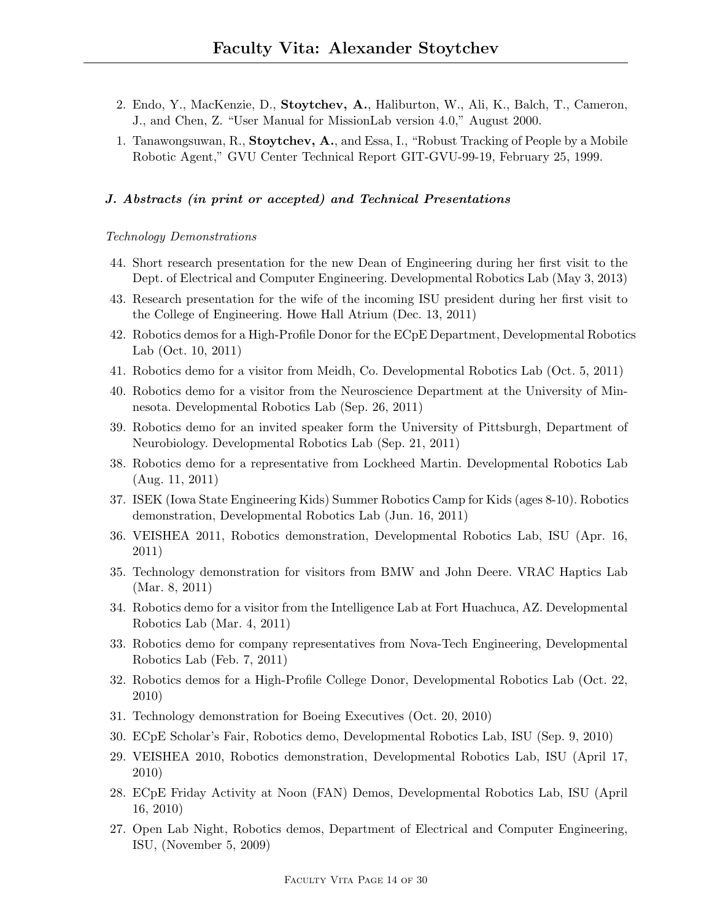- 2. Endo, Y., MacKenzie, D., Stoytchev, A., Haliburton, W., Ali, K., Balch, T., Cameron, J., and Chen, Z. "User Manual for MissionLab version 4.0," August 2000.
- 1. Tanawongsuwan, R., Stoytchev, A., and Essa, I., "Robust Tracking of People by a Mobile Robotic Agent," GVU Center Technical Report GIT-GVU-99-19, February 25, 1999.

#### J. Abstracts (in print or accepted) and Technical Presentations

#### Technology Demonstrations

- 44. Short research presentation for the new Dean of Engineering during her first visit to the Dept. of Electrical and Computer Engineering. Developmental Robotics Lab (May 3, 2013)
- 43. Research presentation for the wife of the incoming ISU president during her first visit to the College of Engineering. Howe Hall Atrium (Dec. 13, 2011)
- 42. Robotics demos for a High-Profile Donor for the ECpE Department, Developmental Robotics Lab (Oct. 10, 2011)
- 41. Robotics demo for a visitor from Meidh, Co. Developmental Robotics Lab (Oct. 5, 2011)
- 40. Robotics demo for a visitor from the Neuroscience Department at the University of Minnesota. Developmental Robotics Lab (Sep. 26, 2011)
- 39. Robotics demo for an invited speaker form the University of Pittsburgh, Department of Neurobiology. Developmental Robotics Lab (Sep. 21, 2011)
- 38. Robotics demo for a representative from Lockheed Martin. Developmental Robotics Lab (Aug. 11, 2011)
- 37. ISEK (Iowa State Engineering Kids) Summer Robotics Camp for Kids (ages 8-10). Robotics demonstration, Developmental Robotics Lab (Jun. 16, 2011)
- 36. VEISHEA 2011, Robotics demonstration, Developmental Robotics Lab, ISU (Apr. 16, 2011)
- 35. Technology demonstration for visitors from BMW and John Deere. VRAC Haptics Lab (Mar. 8, 2011)
- 34. Robotics demo for a visitor from the Intelligence Lab at Fort Huachuca, AZ. Developmental Robotics Lab (Mar. 4, 2011)
- 33. Robotics demo for company representatives from Nova-Tech Engineering, Developmental Robotics Lab (Feb. 7, 2011)
- 32. Robotics demos for a High-Profile College Donor, Developmental Robotics Lab (Oct. 22, 2010)
- 31. Technology demonstration for Boeing Executives (Oct. 20, 2010)
- 30. ECpE Scholar's Fair, Robotics demo, Developmental Robotics Lab, ISU (Sep. 9, 2010)
- 29. VEISHEA 2010, Robotics demonstration, Developmental Robotics Lab, ISU (April 17, 2010)
- 28. ECpE Friday Activity at Noon (FAN) Demos, Developmental Robotics Lab, ISU (April 16, 2010)
- 27. Open Lab Night, Robotics demos, Department of Electrical and Computer Engineering, ISU, (November 5, 2009)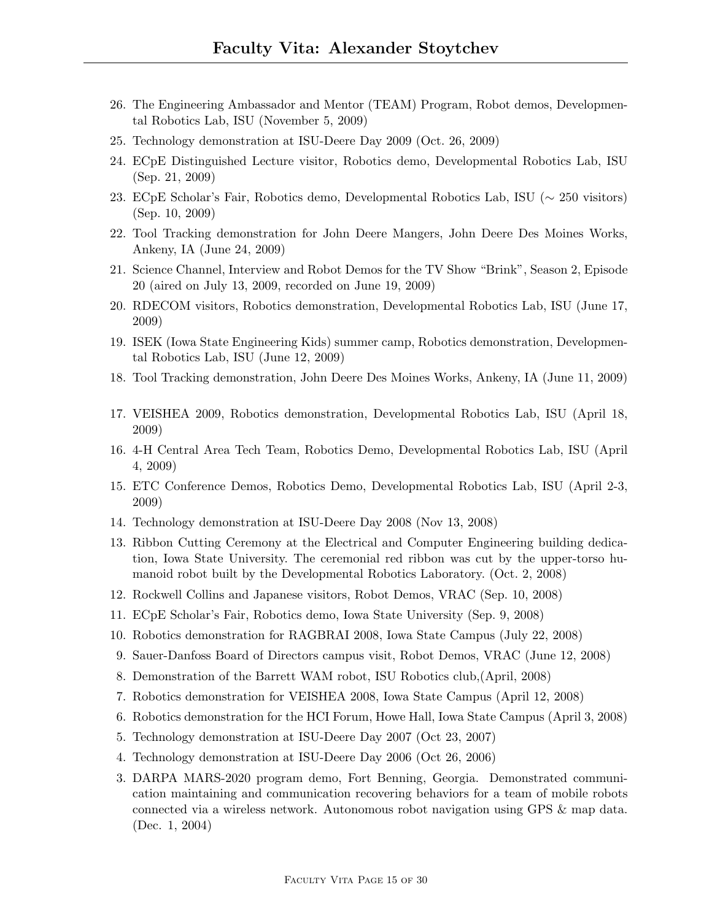- 26. The Engineering Ambassador and Mentor (TEAM) Program, Robot demos, Developmental Robotics Lab, ISU (November 5, 2009)
- 25. Technology demonstration at ISU-Deere Day 2009 (Oct. 26, 2009)
- 24. ECpE Distinguished Lecture visitor, Robotics demo, Developmental Robotics Lab, ISU (Sep. 21, 2009)
- 23. ECpE Scholar's Fair, Robotics demo, Developmental Robotics Lab, ISU (∼ 250 visitors) (Sep. 10, 2009)
- 22. Tool Tracking demonstration for John Deere Mangers, John Deere Des Moines Works, Ankeny, IA (June 24, 2009)
- 21. Science Channel, Interview and Robot Demos for the TV Show "Brink", Season 2, Episode 20 (aired on July 13, 2009, recorded on June 19, 2009)
- 20. RDECOM visitors, Robotics demonstration, Developmental Robotics Lab, ISU (June 17, 2009)
- 19. ISEK (Iowa State Engineering Kids) summer camp, Robotics demonstration, Developmental Robotics Lab, ISU (June 12, 2009)
- 18. Tool Tracking demonstration, John Deere Des Moines Works, Ankeny, IA (June 11, 2009)
- 17. VEISHEA 2009, Robotics demonstration, Developmental Robotics Lab, ISU (April 18, 2009)
- 16. 4-H Central Area Tech Team, Robotics Demo, Developmental Robotics Lab, ISU (April 4, 2009)
- 15. ETC Conference Demos, Robotics Demo, Developmental Robotics Lab, ISU (April 2-3, 2009)
- 14. Technology demonstration at ISU-Deere Day 2008 (Nov 13, 2008)
- 13. Ribbon Cutting Ceremony at the Electrical and Computer Engineering building dedication, Iowa State University. The ceremonial red ribbon was cut by the upper-torso humanoid robot built by the Developmental Robotics Laboratory. (Oct. 2, 2008)
- 12. Rockwell Collins and Japanese visitors, Robot Demos, VRAC (Sep. 10, 2008)
- 11. ECpE Scholar's Fair, Robotics demo, Iowa State University (Sep. 9, 2008)
- 10. Robotics demonstration for RAGBRAI 2008, Iowa State Campus (July 22, 2008)
- 9. Sauer-Danfoss Board of Directors campus visit, Robot Demos, VRAC (June 12, 2008)
- 8. Demonstration of the Barrett WAM robot, ISU Robotics club,(April, 2008)
- 7. Robotics demonstration for VEISHEA 2008, Iowa State Campus (April 12, 2008)
- 6. Robotics demonstration for the HCI Forum, Howe Hall, Iowa State Campus (April 3, 2008)
- 5. Technology demonstration at ISU-Deere Day 2007 (Oct 23, 2007)
- 4. Technology demonstration at ISU-Deere Day 2006 (Oct 26, 2006)
- 3. DARPA MARS-2020 program demo, Fort Benning, Georgia. Demonstrated communication maintaining and communication recovering behaviors for a team of mobile robots connected via a wireless network. Autonomous robot navigation using GPS & map data. (Dec. 1, 2004)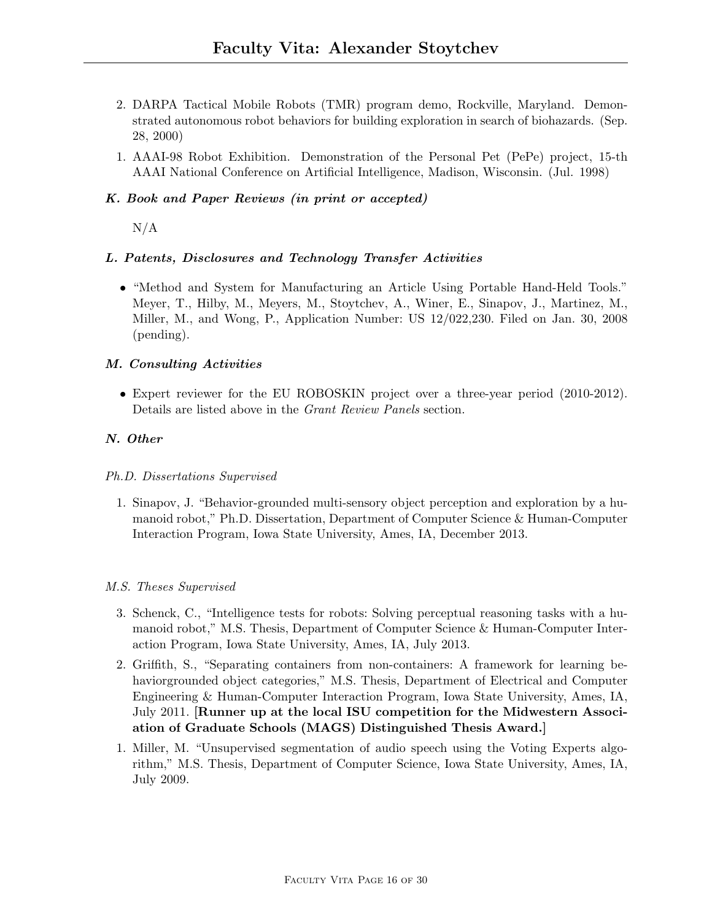- 2. DARPA Tactical Mobile Robots (TMR) program demo, Rockville, Maryland. Demonstrated autonomous robot behaviors for building exploration in search of biohazards. (Sep. 28, 2000)
- 1. AAAI-98 Robot Exhibition. Demonstration of the Personal Pet (PePe) project, 15-th AAAI National Conference on Artificial Intelligence, Madison, Wisconsin. (Jul. 1998)

## K. Book and Paper Reviews (in print or accepted)

 $N/A$ 

### L. Patents, Disclosures and Technology Transfer Activities

• "Method and System for Manufacturing an Article Using Portable Hand-Held Tools." Meyer, T., Hilby, M., Meyers, M., Stoytchev, A., Winer, E., Sinapov, J., Martinez, M., Miller, M., and Wong, P., Application Number: US 12/022,230. Filed on Jan. 30, 2008 (pending).

### M. Consulting Activities

• Expert reviewer for the EU ROBOSKIN project over a three-year period (2010-2012). Details are listed above in the Grant Review Panels section.

### N. Other

### Ph.D. Dissertations Supervised

1. Sinapov, J. "Behavior-grounded multi-sensory object perception and exploration by a humanoid robot," Ph.D. Dissertation, Department of Computer Science & Human-Computer Interaction Program, Iowa State University, Ames, IA, December 2013.

### M.S. Theses Supervised

- 3. Schenck, C., "Intelligence tests for robots: Solving perceptual reasoning tasks with a humanoid robot," M.S. Thesis, Department of Computer Science & Human-Computer Interaction Program, Iowa State University, Ames, IA, July 2013.
- 2. Griffith, S., "Separating containers from non-containers: A framework for learning behaviorgrounded object categories," M.S. Thesis, Department of Electrical and Computer Engineering & Human-Computer Interaction Program, Iowa State University, Ames, IA, July 2011. [Runner up at the local ISU competition for the Midwestern Association of Graduate Schools (MAGS) Distinguished Thesis Award.]
- 1. Miller, M. "Unsupervised segmentation of audio speech using the Voting Experts algorithm," M.S. Thesis, Department of Computer Science, Iowa State University, Ames, IA, July 2009.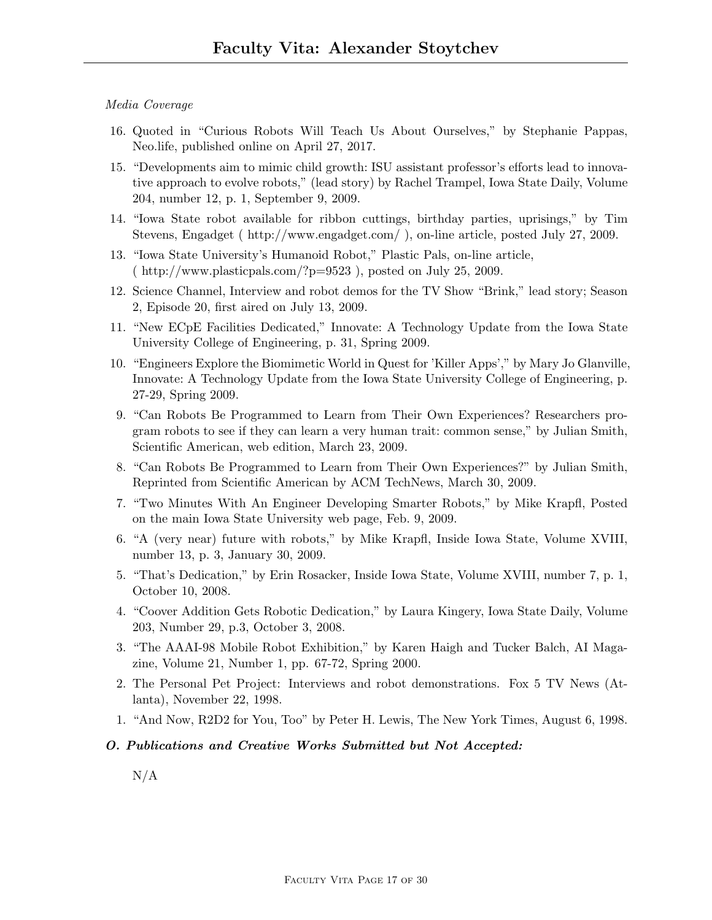### Media Coverage

- 16. Quoted in "Curious Robots Will Teach Us About Ourselves," by Stephanie Pappas, Neo.life, published online on April 27, 2017.
- 15. "Developments aim to mimic child growth: ISU assistant professor's efforts lead to innovative approach to evolve robots," (lead story) by Rachel Trampel, Iowa State Daily, Volume 204, number 12, p. 1, September 9, 2009.
- 14. "Iowa State robot available for ribbon cuttings, birthday parties, uprisings," by Tim Stevens, Engadget ( http://www.engadget.com/ ), on-line article, posted July 27, 2009.
- 13. "Iowa State University's Humanoid Robot," Plastic Pals, on-line article, ( http://www.plasticpals.com/?p=9523 ), posted on July 25, 2009.
- 12. Science Channel, Interview and robot demos for the TV Show "Brink," lead story; Season 2, Episode 20, first aired on July 13, 2009.
- 11. "New ECpE Facilities Dedicated," Innovate: A Technology Update from the Iowa State University College of Engineering, p. 31, Spring 2009.
- 10. "Engineers Explore the Biomimetic World in Quest for 'Killer Apps'," by Mary Jo Glanville, Innovate: A Technology Update from the Iowa State University College of Engineering, p. 27-29, Spring 2009.
- 9. "Can Robots Be Programmed to Learn from Their Own Experiences? Researchers program robots to see if they can learn a very human trait: common sense," by Julian Smith, Scientific American, web edition, March 23, 2009.
- 8. "Can Robots Be Programmed to Learn from Their Own Experiences?" by Julian Smith, Reprinted from Scientific American by ACM TechNews, March 30, 2009.
- 7. "Two Minutes With An Engineer Developing Smarter Robots," by Mike Krapfl, Posted on the main Iowa State University web page, Feb. 9, 2009.
- 6. "A (very near) future with robots," by Mike Krapfl, Inside Iowa State, Volume XVIII, number 13, p. 3, January 30, 2009.
- 5. "That's Dedication," by Erin Rosacker, Inside Iowa State, Volume XVIII, number 7, p. 1, October 10, 2008.
- 4. "Coover Addition Gets Robotic Dedication," by Laura Kingery, Iowa State Daily, Volume 203, Number 29, p.3, October 3, 2008.
- 3. "The AAAI-98 Mobile Robot Exhibition," by Karen Haigh and Tucker Balch, AI Magazine, Volume 21, Number 1, pp. 67-72, Spring 2000.
- 2. The Personal Pet Project: Interviews and robot demonstrations. Fox 5 TV News (Atlanta), November 22, 1998.
- 1. "And Now, R2D2 for You, Too" by Peter H. Lewis, The New York Times, August 6, 1998.

#### O. Publications and Creative Works Submitted but Not Accepted:

 $N/A$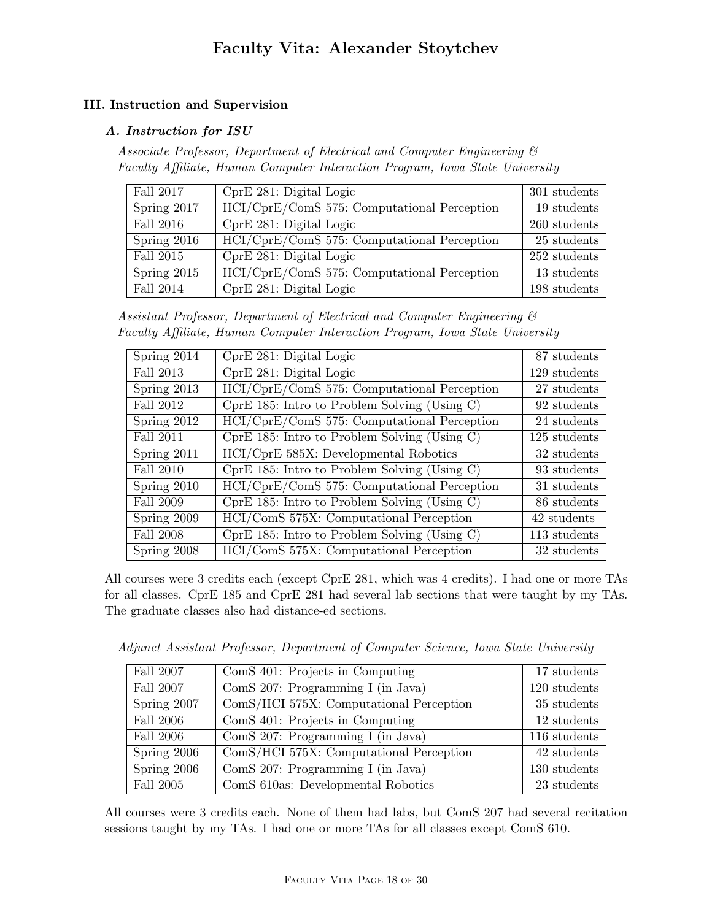# III. Instruction and Supervision

# A. Instruction for ISU

Associate Professor, Department of Electrical and Computer Engineering & Faculty Affiliate, Human Computer Interaction Program, Iowa State University

| Fall 2017   | CprE 281: Digital Logic                     | 301 students   |
|-------------|---------------------------------------------|----------------|
| Spring 2017 | HCI/CprE/ComS 575: Computational Perception | 19 students    |
| Fall 2016   | CprE 281: Digital Logic                     | $260$ students |
| Spring 2016 | HCI/CprE/ComS 575: Computational Perception | 25 students    |
| Fall 2015   | CprE 281: Digital Logic                     | 252 students   |
| Spring 2015 | HCI/CprE/ComS 575: Computational Perception | 13 students    |
| Fall 2014   | CprE 281: Digital Logic                     | 198 students   |

Assistant Professor, Department of Electrical and Computer Engineering & Faculty Affiliate, Human Computer Interaction Program, Iowa State University

| Spring 2014      | CprE 281: Digital Logic                        | 87 students  |
|------------------|------------------------------------------------|--------------|
| Fall 2013        | CprE 281: Digital Logic                        | 129 students |
| Spring 2013      | HCI/CprE/ComS 575: Computational Perception    | 27 students  |
| Fall 2012        | $CprE$ 185: Intro to Problem Solving (Using C) | 92 students  |
| Spring 2012      | HCI/CprE/ComS 575: Computational Perception    | 24 students  |
| Fall 2011        | $CprE$ 185: Intro to Problem Solving (Using C) | 125 students |
| Spring 2011      | HCI/CprE 585X: Developmental Robotics          | 32 students  |
| Fall 2010        | $CprE$ 185: Intro to Problem Solving (Using C) | 93 students  |
| Spring 2010      | HCI/CprE/ComS 575: Computational Perception    | 31 students  |
| Fall 2009        | $CprE$ 185: Intro to Problem Solving (Using C) | 86 students  |
| Spring 2009      | HCI/ComS 575X: Computational Perception        | 42 students  |
| <b>Fall 2008</b> | $CprE$ 185: Intro to Problem Solving (Using C) | 113 students |
| Spring 2008      | HCI/ComS 575X: Computational Perception        | 32 students  |

All courses were 3 credits each (except CprE 281, which was 4 credits). I had one or more TAs for all classes. CprE 185 and CprE 281 had several lab sections that were taught by my TAs. The graduate classes also had distance-ed sections.

Adjunct Assistant Professor, Department of Computer Science, Iowa State University

| Fall 2007   | ComS 401: Projects in Computing         | 17 students  |
|-------------|-----------------------------------------|--------------|
| Fall 2007   | ComS 207: Programming I (in Java)       | 120 students |
| Spring 2007 | ComS/HCI 575X: Computational Perception | 35 students  |
| Fall 2006   | ComS 401: Projects in Computing         | 12 students  |
| Fall 2006   | ComS 207: Programming I (in Java)       | 116 students |
| Spring 2006 | ComS/HCI 575X: Computational Perception | 42 students  |
| Spring 2006 | ComS 207: Programming I (in Java)       | 130 students |
| Fall 2005   | ComS 610as: Developmental Robotics      | 23 students  |

All courses were 3 credits each. None of them had labs, but ComS 207 had several recitation sessions taught by my TAs. I had one or more TAs for all classes except ComS 610.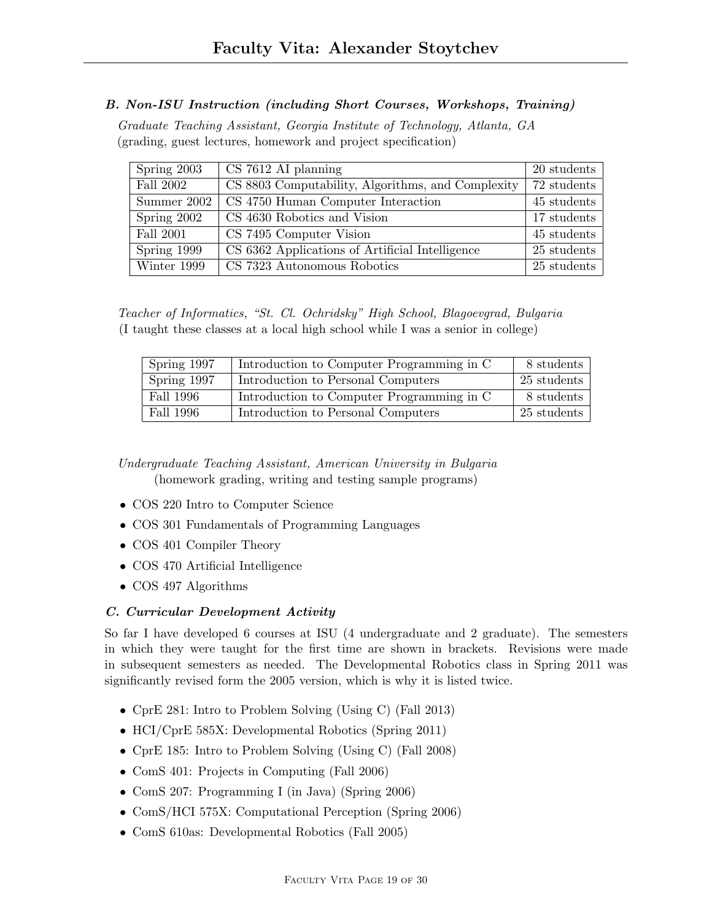## B. Non-ISU Instruction (including Short Courses, Workshops, Training)

Graduate Teaching Assistant, Georgia Institute of Technology, Atlanta, GA (grading, guest lectures, homework and project specification)

| Spring 2003   | $CS$ 7612 AI planning                             | 20 students   |
|---------------|---------------------------------------------------|---------------|
| Fall 2002     | CS 8803 Computability, Algorithms, and Complexity | 72 students   |
| Summer $2002$ | CS 4750 Human Computer Interaction                | 45 students   |
| Spring 2002   | CS 4630 Robotics and Vision                       | 17 students   |
| Fall 2001     | CS 7495 Computer Vision                           | 45 students   |
| Spring 1999   | CS 6362 Applications of Artificial Intelligence   | 25 students   |
| Winter 1999   | CS 7323 Autonomous Robotics                       | $25$ students |

Teacher of Informatics, "St. Cl. Ochridsky" High School, Blagoevgrad, Bulgaria (I taught these classes at a local high school while I was a senior in college)

| Spring 1997 | Introduction to Computer Programming in C | 8 students  |
|-------------|-------------------------------------------|-------------|
| Spring 1997 | Introduction to Personal Computers        | 25 students |
| Fall 1996   | Introduction to Computer Programming in C | 8 students  |
| Fall 1996   | Introduction to Personal Computers        | 25 students |

Undergraduate Teaching Assistant, American University in Bulgaria (homework grading, writing and testing sample programs)

- COS 220 Intro to Computer Science
- COS 301 Fundamentals of Programming Languages
- COS 401 Compiler Theory
- COS 470 Artificial Intelligence
- COS 497 Algorithms

## C. Curricular Development Activity

So far I have developed 6 courses at ISU (4 undergraduate and 2 graduate). The semesters in which they were taught for the first time are shown in brackets. Revisions were made in subsequent semesters as needed. The Developmental Robotics class in Spring 2011 was significantly revised form the 2005 version, which is why it is listed twice.

- CprE 281: Intro to Problem Solving (Using C) (Fall 2013)
- HCI/CprE 585X: Developmental Robotics (Spring 2011)
- CprE 185: Intro to Problem Solving (Using C) (Fall 2008)
- ComS 401: Projects in Computing (Fall 2006)
- ComS 207: Programming I (in Java) (Spring 2006)
- ComS/HCI 575X: Computational Perception (Spring 2006)
- ComS 610as: Developmental Robotics (Fall 2005)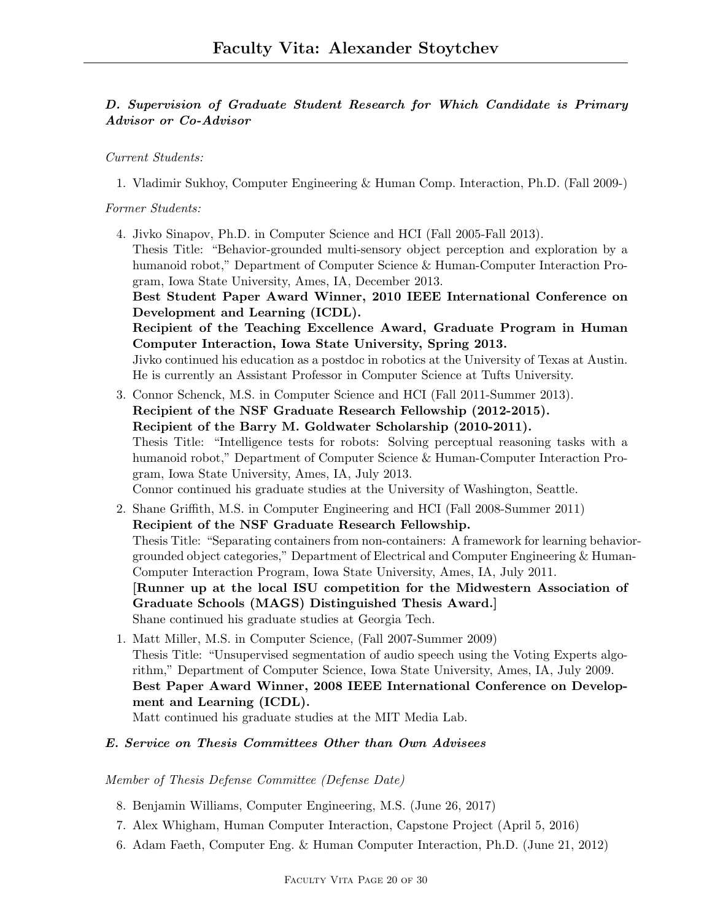# D. Supervision of Graduate Student Research for Which Candidate is Primary Advisor or Co-Advisor

Current Students:

1. Vladimir Sukhoy, Computer Engineering & Human Comp. Interaction, Ph.D. (Fall 2009-)

## Former Students:

4. Jivko Sinapov, Ph.D. in Computer Science and HCI (Fall 2005-Fall 2013). Thesis Title: "Behavior-grounded multi-sensory object perception and exploration by a humanoid robot," Department of Computer Science & Human-Computer Interaction Program, Iowa State University, Ames, IA, December 2013. Best Student Paper Award Winner, 2010 IEEE International Conference on Development and Learning (ICDL).

Recipient of the Teaching Excellence Award, Graduate Program in Human Computer Interaction, Iowa State University, Spring 2013.

Jivko continued his education as a postdoc in robotics at the University of Texas at Austin. He is currently an Assistant Professor in Computer Science at Tufts University.

- 3. Connor Schenck, M.S. in Computer Science and HCI (Fall 2011-Summer 2013). Recipient of the NSF Graduate Research Fellowship (2012-2015). Recipient of the Barry M. Goldwater Scholarship (2010-2011). Thesis Title: "Intelligence tests for robots: Solving perceptual reasoning tasks with a humanoid robot," Department of Computer Science & Human-Computer Interaction Program, Iowa State University, Ames, IA, July 2013. Connor continued his graduate studies at the University of Washington, Seattle.
- 2. Shane Griffith, M.S. in Computer Engineering and HCI (Fall 2008-Summer 2011) Recipient of the NSF Graduate Research Fellowship. Thesis Title: "Separating containers from non-containers: A framework for learning behaviorgrounded object categories," Department of Electrical and Computer Engineering & Human-Computer Interaction Program, Iowa State University, Ames, IA, July 2011. [Runner up at the local ISU competition for the Midwestern Association of Graduate Schools (MAGS) Distinguished Thesis Award.] Shane continued his graduate studies at Georgia Tech.
- 1. Matt Miller, M.S. in Computer Science, (Fall 2007-Summer 2009) Thesis Title: "Unsupervised segmentation of audio speech using the Voting Experts algorithm," Department of Computer Science, Iowa State University, Ames, IA, July 2009. Best Paper Award Winner, 2008 IEEE International Conference on Development and Learning (ICDL).

Matt continued his graduate studies at the MIT Media Lab.

## E. Service on Thesis Committees Other than Own Advisees

## Member of Thesis Defense Committee (Defense Date)

- 8. Benjamin Williams, Computer Engineering, M.S. (June 26, 2017)
- 7. Alex Whigham, Human Computer Interaction, Capstone Project (April 5, 2016)
- 6. Adam Faeth, Computer Eng. & Human Computer Interaction, Ph.D. (June 21, 2012)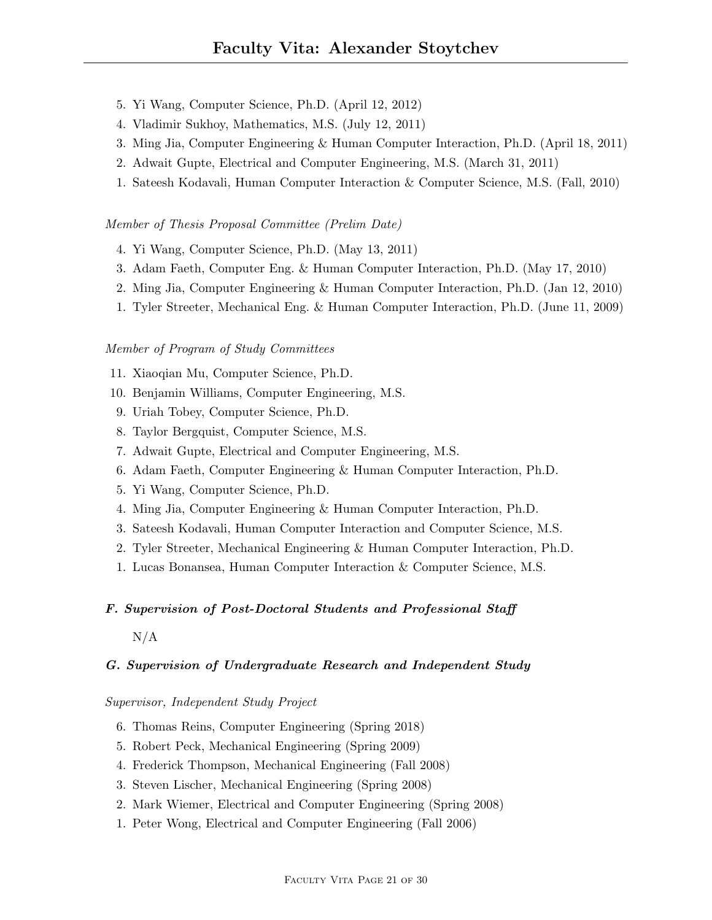- 5. Yi Wang, Computer Science, Ph.D. (April 12, 2012)
- 4. Vladimir Sukhoy, Mathematics, M.S. (July 12, 2011)
- 3. Ming Jia, Computer Engineering & Human Computer Interaction, Ph.D. (April 18, 2011)
- 2. Adwait Gupte, Electrical and Computer Engineering, M.S. (March 31, 2011)
- 1. Sateesh Kodavali, Human Computer Interaction & Computer Science, M.S. (Fall, 2010)

#### Member of Thesis Proposal Committee (Prelim Date)

- 4. Yi Wang, Computer Science, Ph.D. (May 13, 2011)
- 3. Adam Faeth, Computer Eng. & Human Computer Interaction, Ph.D. (May 17, 2010)
- 2. Ming Jia, Computer Engineering & Human Computer Interaction, Ph.D. (Jan 12, 2010)
- 1. Tyler Streeter, Mechanical Eng. & Human Computer Interaction, Ph.D. (June 11, 2009)

#### Member of Program of Study Committees

- 11. Xiaoqian Mu, Computer Science, Ph.D.
- 10. Benjamin Williams, Computer Engineering, M.S.
- 9. Uriah Tobey, Computer Science, Ph.D.
- 8. Taylor Bergquist, Computer Science, M.S.
- 7. Adwait Gupte, Electrical and Computer Engineering, M.S.
- 6. Adam Faeth, Computer Engineering & Human Computer Interaction, Ph.D.
- 5. Yi Wang, Computer Science, Ph.D.
- 4. Ming Jia, Computer Engineering & Human Computer Interaction, Ph.D.
- 3. Sateesh Kodavali, Human Computer Interaction and Computer Science, M.S.
- 2. Tyler Streeter, Mechanical Engineering & Human Computer Interaction, Ph.D.
- 1. Lucas Bonansea, Human Computer Interaction & Computer Science, M.S.

#### F. Supervision of Post-Doctoral Students and Professional Staff

 $N/A$ 

### G. Supervision of Undergraduate Research and Independent Study

### Supervisor, Independent Study Project

- 6. Thomas Reins, Computer Engineering (Spring 2018)
- 5. Robert Peck, Mechanical Engineering (Spring 2009)
- 4. Frederick Thompson, Mechanical Engineering (Fall 2008)
- 3. Steven Lischer, Mechanical Engineering (Spring 2008)
- 2. Mark Wiemer, Electrical and Computer Engineering (Spring 2008)
- 1. Peter Wong, Electrical and Computer Engineering (Fall 2006)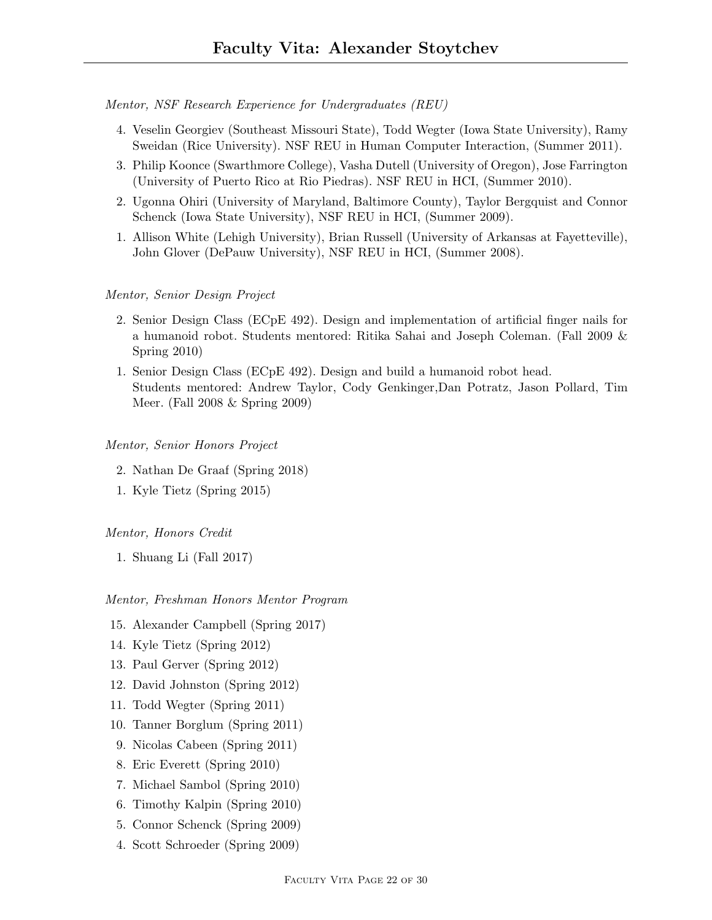Mentor, NSF Research Experience for Undergraduates (REU)

- 4. Veselin Georgiev (Southeast Missouri State), Todd Wegter (Iowa State University), Ramy Sweidan (Rice University). NSF REU in Human Computer Interaction, (Summer 2011).
- 3. Philip Koonce (Swarthmore College), Vasha Dutell (University of Oregon), Jose Farrington (University of Puerto Rico at Rio Piedras). NSF REU in HCI, (Summer 2010).
- 2. Ugonna Ohiri (University of Maryland, Baltimore County), Taylor Bergquist and Connor Schenck (Iowa State University), NSF REU in HCI, (Summer 2009).
- 1. Allison White (Lehigh University), Brian Russell (University of Arkansas at Fayetteville), John Glover (DePauw University), NSF REU in HCI, (Summer 2008).

#### Mentor, Senior Design Project

- 2. Senior Design Class (ECpE 492). Design and implementation of artificial finger nails for a humanoid robot. Students mentored: Ritika Sahai and Joseph Coleman. (Fall 2009 & Spring 2010)
- 1. Senior Design Class (ECpE 492). Design and build a humanoid robot head. Students mentored: Andrew Taylor, Cody Genkinger,Dan Potratz, Jason Pollard, Tim Meer. (Fall 2008 & Spring 2009)

#### Mentor, Senior Honors Project

- 2. Nathan De Graaf (Spring 2018)
- 1. Kyle Tietz (Spring 2015)

#### Mentor, Honors Credit

1. Shuang Li (Fall 2017)

#### Mentor, Freshman Honors Mentor Program

- 15. Alexander Campbell (Spring 2017)
- 14. Kyle Tietz (Spring 2012)
- 13. Paul Gerver (Spring 2012)
- 12. David Johnston (Spring 2012)
- 11. Todd Wegter (Spring 2011)
- 10. Tanner Borglum (Spring 2011)
- 9. Nicolas Cabeen (Spring 2011)
- 8. Eric Everett (Spring 2010)
- 7. Michael Sambol (Spring 2010)
- 6. Timothy Kalpin (Spring 2010)
- 5. Connor Schenck (Spring 2009)
- 4. Scott Schroeder (Spring 2009)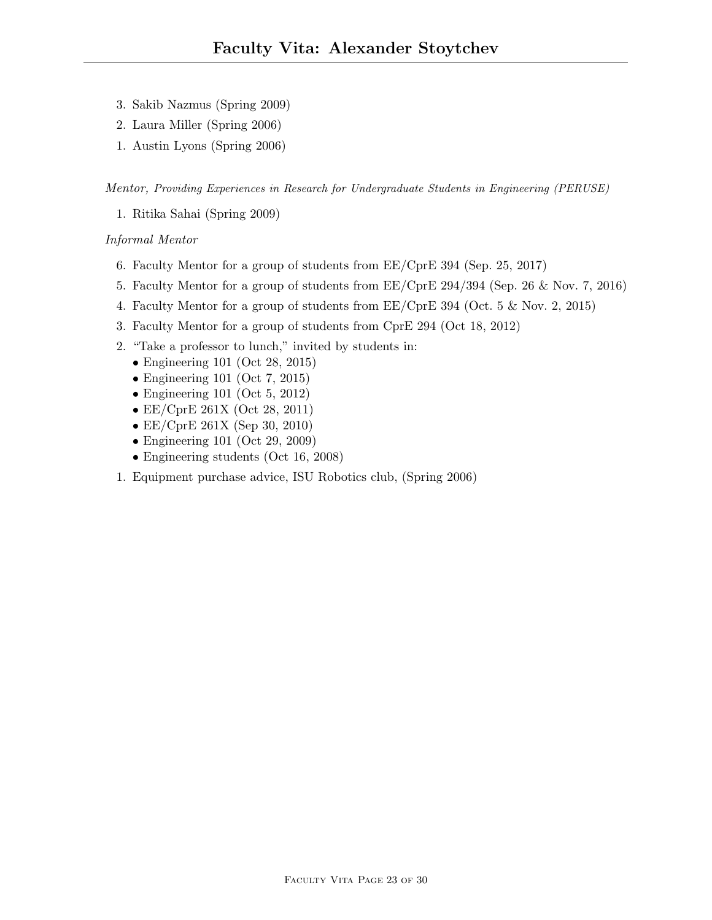- 3. Sakib Nazmus (Spring 2009)
- 2. Laura Miller (Spring 2006)
- 1. Austin Lyons (Spring 2006)

Mentor, Providing Experiences in Research for Undergraduate Students in Engineering (PERUSE)

1. Ritika Sahai (Spring 2009)

## Informal Mentor

- 6. Faculty Mentor for a group of students from EE/CprE 394 (Sep. 25, 2017)
- 5. Faculty Mentor for a group of students from EE/CprE 294/394 (Sep. 26 & Nov. 7, 2016)
- 4. Faculty Mentor for a group of students from EE/CprE 394 (Oct. 5 & Nov. 2, 2015)
- 3. Faculty Mentor for a group of students from CprE 294 (Oct 18, 2012)
- 2. "Take a professor to lunch," invited by students in:
	- Engineering 101 (Oct 28, 2015)
	- Engineering 101 (Oct 7, 2015)
	- Engineering 101 (Oct 5, 2012)
	- EE/CprE 261X (Oct 28, 2011)
	- EE/CprE 261X (Sep 30, 2010)
	- Engineering 101 (Oct 29, 2009)
	- Engineering students (Oct 16, 2008)
- 1. Equipment purchase advice, ISU Robotics club, (Spring 2006)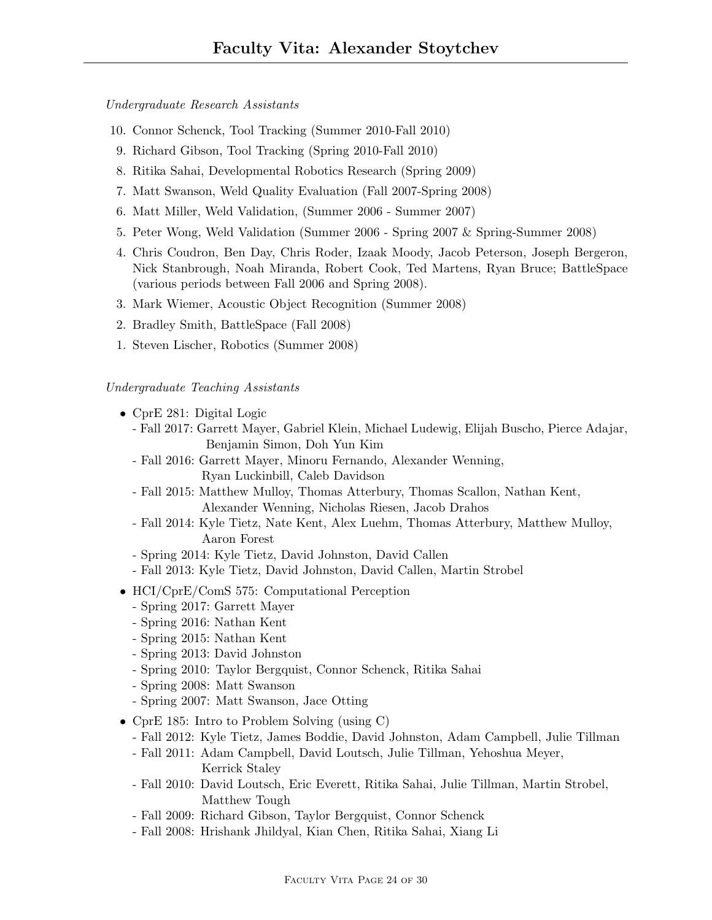Undergraduate Research Assistants

- 10. Connor Schenck, Tool Tracking (Summer 2010-Fall 2010)
- 9. Richard Gibson, Tool Tracking (Spring 2010-Fall 2010)
- 8. Ritika Sahai, Developmental Robotics Research (Spring 2009)
- 7. Matt Swanson, Weld Quality Evaluation (Fall 2007-Spring 2008)
- 6. Matt Miller, Weld Validation, (Summer 2006 Summer 2007)
- 5. Peter Wong, Weld Validation (Summer 2006 Spring 2007 & Spring-Summer 2008)
- 4. Chris Coudron, Ben Day, Chris Roder, Izaak Moody, Jacob Peterson, Joseph Bergeron, Nick Stanbrough, Noah Miranda, Robert Cook, Ted Martens, Ryan Bruce; BattleSpace (various periods between Fall 2006 and Spring 2008).
- 3. Mark Wiemer, Acoustic Object Recognition (Summer 2008)
- 2. Bradley Smith, BattleSpace (Fall 2008)
- 1. Steven Lischer, Robotics (Summer 2008)

### Undergraduate Teaching Assistants

- CprE 281: Digital Logic
	- Fall 2017: Garrett Mayer, Gabriel Klein, Michael Ludewig, Elijah Buscho, Pierce Adajar, Benjamin Simon, Doh Yun Kim
	- Fall 2016: Garrett Mayer, Minoru Fernando, Alexander Wenning, Ryan Luckinbill, Caleb Davidson
	- Fall 2015: Matthew Mulloy, Thomas Atterbury, Thomas Scallon, Nathan Kent, Alexander Wenning, Nicholas Riesen, Jacob Drahos
	- Fall 2014: Kyle Tietz, Nate Kent, Alex Luehm, Thomas Atterbury, Matthew Mulloy, Aaron Forest
	- Spring 2014: Kyle Tietz, David Johnston, David Callen
	- Fall 2013: Kyle Tietz, David Johnston, David Callen, Martin Strobel
- HCI/CprE/ComS 575: Computational Perception
	- Spring 2017: Garrett Mayer
	- Spring 2016: Nathan Kent
	- Spring 2015: Nathan Kent
	- Spring 2013: David Johnston
	- Spring 2010: Taylor Bergquist, Connor Schenck, Ritika Sahai
	- Spring 2008: Matt Swanson
	- Spring 2007: Matt Swanson, Jace Otting
- CprE 185: Intro to Problem Solving (using C)
	- Fall 2012: Kyle Tietz, James Boddie, David Johnston, Adam Campbell, Julie Tillman
	- Fall 2011: Adam Campbell, David Loutsch, Julie Tillman, Yehoshua Meyer, Kerrick Staley
	- Fall 2010: David Loutsch, Eric Everett, Ritika Sahai, Julie Tillman, Martin Strobel, Matthew Tough
	- Fall 2009: Richard Gibson, Taylor Bergquist, Connor Schenck
	- Fall 2008: Hrishank Jhildyal, Kian Chen, Ritika Sahai, Xiang Li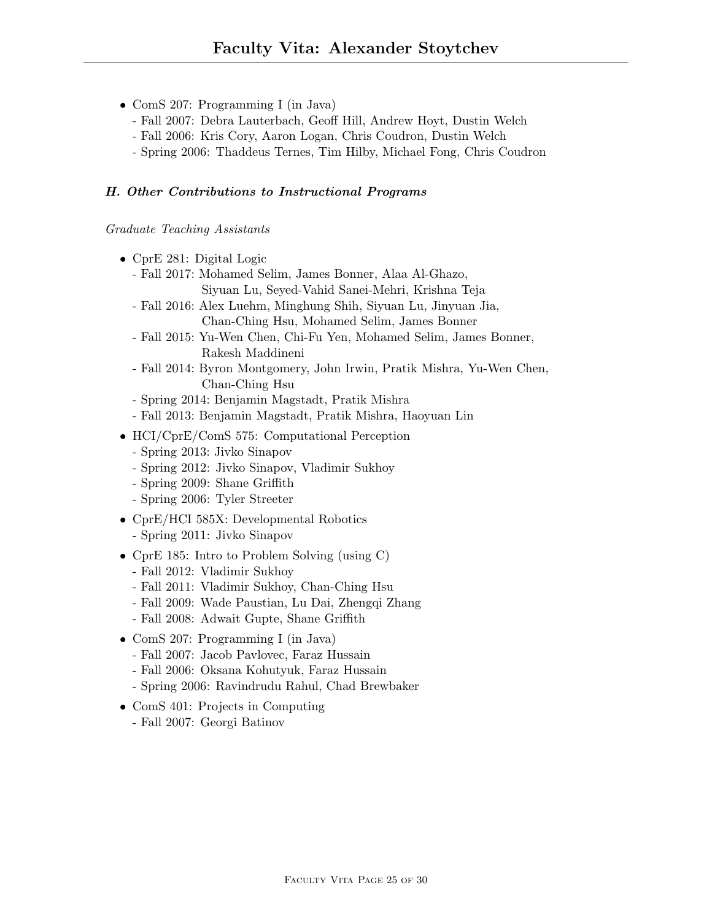- ComS 207: Programming I (in Java)
	- Fall 2007: Debra Lauterbach, Geoff Hill, Andrew Hoyt, Dustin Welch
	- Fall 2006: Kris Cory, Aaron Logan, Chris Coudron, Dustin Welch
	- Spring 2006: Thaddeus Ternes, Tim Hilby, Michael Fong, Chris Coudron

### H. Other Contributions to Instructional Programs

### Graduate Teaching Assistants

- CprE 281: Digital Logic
	- Fall 2017: Mohamed Selim, James Bonner, Alaa Al-Ghazo, Siyuan Lu, Seyed-Vahid Sanei-Mehri, Krishna Teja
	- Fall 2016: Alex Luehm, Minghung Shih, Siyuan Lu, Jinyuan Jia, Chan-Ching Hsu, Mohamed Selim, James Bonner
	- Fall 2015: Yu-Wen Chen, Chi-Fu Yen, Mohamed Selim, James Bonner, Rakesh Maddineni
	- Fall 2014: Byron Montgomery, John Irwin, Pratik Mishra, Yu-Wen Chen, Chan-Ching Hsu
	- Spring 2014: Benjamin Magstadt, Pratik Mishra
	- Fall 2013: Benjamin Magstadt, Pratik Mishra, Haoyuan Lin
- HCI/CprE/ComS 575: Computational Perception
	- Spring 2013: Jivko Sinapov
	- Spring 2012: Jivko Sinapov, Vladimir Sukhoy
	- Spring 2009: Shane Griffith
	- Spring 2006: Tyler Streeter
- CprE/HCI 585X: Developmental Robotics
	- Spring 2011: Jivko Sinapov
- CprE 185: Intro to Problem Solving (using C)
	- Fall 2012: Vladimir Sukhoy
	- Fall 2011: Vladimir Sukhoy, Chan-Ching Hsu
	- Fall 2009: Wade Paustian, Lu Dai, Zhengqi Zhang
	- Fall 2008: Adwait Gupte, Shane Griffith
- ComS 207: Programming I (in Java)
	- Fall 2007: Jacob Pavlovec, Faraz Hussain
	- Fall 2006: Oksana Kohutyuk, Faraz Hussain
	- Spring 2006: Ravindrudu Rahul, Chad Brewbaker
- ComS 401: Projects in Computing
	- Fall 2007: Georgi Batinov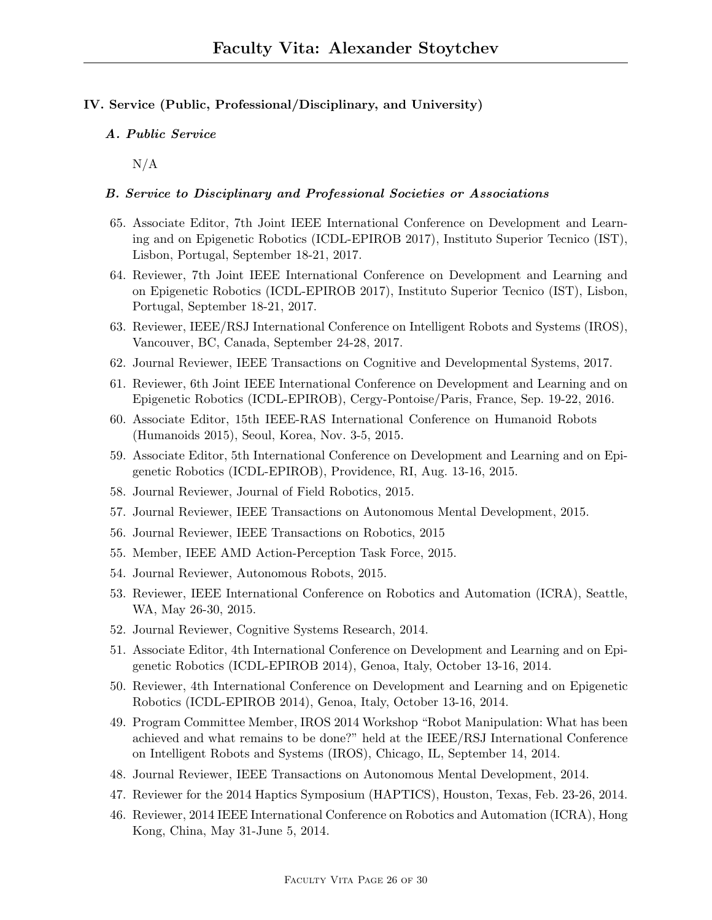## IV. Service (Public, Professional/Disciplinary, and University)

## A. Public Service

 $N/A$ 

## B. Service to Disciplinary and Professional Societies or Associations

- 65. Associate Editor, 7th Joint IEEE International Conference on Development and Learning and on Epigenetic Robotics (ICDL-EPIROB 2017), Instituto Superior Tecnico (IST), Lisbon, Portugal, September 18-21, 2017.
- 64. Reviewer, 7th Joint IEEE International Conference on Development and Learning and on Epigenetic Robotics (ICDL-EPIROB 2017), Instituto Superior Tecnico (IST), Lisbon, Portugal, September 18-21, 2017.
- 63. Reviewer, IEEE/RSJ International Conference on Intelligent Robots and Systems (IROS), Vancouver, BC, Canada, September 24-28, 2017.
- 62. Journal Reviewer, IEEE Transactions on Cognitive and Developmental Systems, 2017.
- 61. Reviewer, 6th Joint IEEE International Conference on Development and Learning and on Epigenetic Robotics (ICDL-EPIROB), Cergy-Pontoise/Paris, France, Sep. 19-22, 2016.
- 60. Associate Editor, 15th IEEE-RAS International Conference on Humanoid Robots (Humanoids 2015), Seoul, Korea, Nov. 3-5, 2015.
- 59. Associate Editor, 5th International Conference on Development and Learning and on Epigenetic Robotics (ICDL-EPIROB), Providence, RI, Aug. 13-16, 2015.
- 58. Journal Reviewer, Journal of Field Robotics, 2015.
- 57. Journal Reviewer, IEEE Transactions on Autonomous Mental Development, 2015.
- 56. Journal Reviewer, IEEE Transactions on Robotics, 2015
- 55. Member, IEEE AMD Action-Perception Task Force, 2015.
- 54. Journal Reviewer, Autonomous Robots, 2015.
- 53. Reviewer, IEEE International Conference on Robotics and Automation (ICRA), Seattle, WA, May 26-30, 2015.
- 52. Journal Reviewer, Cognitive Systems Research, 2014.
- 51. Associate Editor, 4th International Conference on Development and Learning and on Epigenetic Robotics (ICDL-EPIROB 2014), Genoa, Italy, October 13-16, 2014.
- 50. Reviewer, 4th International Conference on Development and Learning and on Epigenetic Robotics (ICDL-EPIROB 2014), Genoa, Italy, October 13-16, 2014.
- 49. Program Committee Member, IROS 2014 Workshop "Robot Manipulation: What has been achieved and what remains to be done?" held at the IEEE/RSJ International Conference on Intelligent Robots and Systems (IROS), Chicago, IL, September 14, 2014.
- 48. Journal Reviewer, IEEE Transactions on Autonomous Mental Development, 2014.
- 47. Reviewer for the 2014 Haptics Symposium (HAPTICS), Houston, Texas, Feb. 23-26, 2014.
- 46. Reviewer, 2014 IEEE International Conference on Robotics and Automation (ICRA), Hong Kong, China, May 31-June 5, 2014.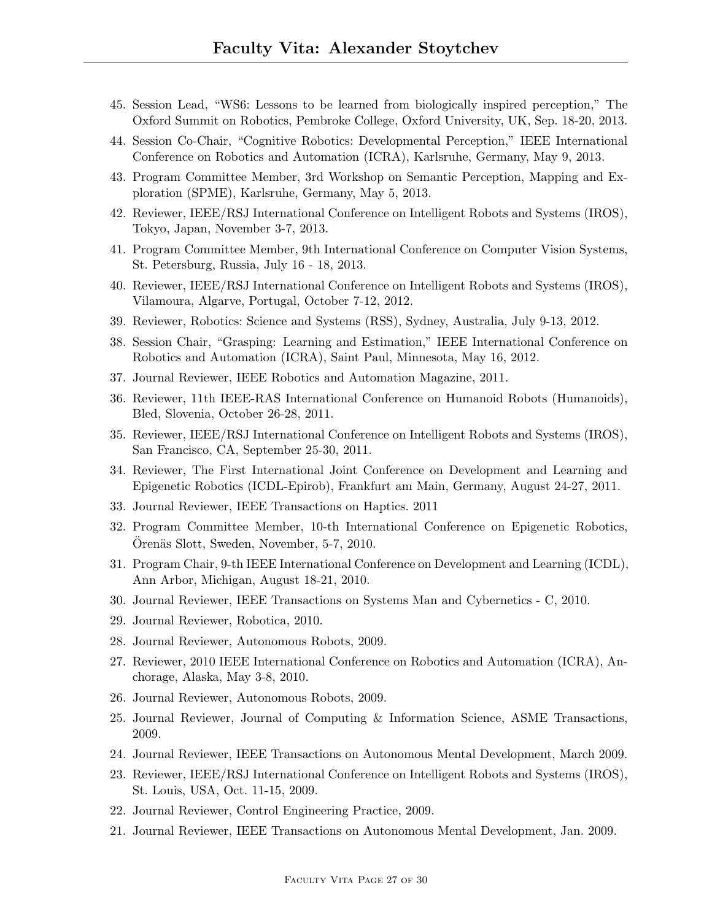- 45. Session Lead, "WS6: Lessons to be learned from biologically inspired perception," The Oxford Summit on Robotics, Pembroke College, Oxford University, UK, Sep. 18-20, 2013.
- 44. Session Co-Chair, "Cognitive Robotics: Developmental Perception," IEEE International Conference on Robotics and Automation (ICRA), Karlsruhe, Germany, May 9, 2013.
- 43. Program Committee Member, 3rd Workshop on Semantic Perception, Mapping and Exploration (SPME), Karlsruhe, Germany, May 5, 2013.
- 42. Reviewer, IEEE/RSJ International Conference on Intelligent Robots and Systems (IROS), Tokyo, Japan, November 3-7, 2013.
- 41. Program Committee Member, 9th International Conference on Computer Vision Systems, St. Petersburg, Russia, July 16 - 18, 2013.
- 40. Reviewer, IEEE/RSJ International Conference on Intelligent Robots and Systems (IROS), Vilamoura, Algarve, Portugal, October 7-12, 2012.
- 39. Reviewer, Robotics: Science and Systems (RSS), Sydney, Australia, July 9-13, 2012.
- 38. Session Chair, "Grasping: Learning and Estimation," IEEE International Conference on Robotics and Automation (ICRA), Saint Paul, Minnesota, May 16, 2012.
- 37. Journal Reviewer, IEEE Robotics and Automation Magazine, 2011.
- 36. Reviewer, 11th IEEE-RAS International Conference on Humanoid Robots (Humanoids), Bled, Slovenia, October 26-28, 2011.
- 35. Reviewer, IEEE/RSJ International Conference on Intelligent Robots and Systems (IROS), San Francisco, CA, September 25-30, 2011.
- 34. Reviewer, The First International Joint Conference on Development and Learning and Epigenetic Robotics (ICDL-Epirob), Frankfurt am Main, Germany, August 24-27, 2011.
- 33. Journal Reviewer, IEEE Transactions on Haptics. 2011
- 32. Program Committee Member, 10-th International Conference on Epigenetic Robotics, Örenäs Slott, Sweden, November, 5-7, 2010.
- 31. Program Chair, 9-th IEEE International Conference on Development and Learning (ICDL), Ann Arbor, Michigan, August 18-21, 2010.
- 30. Journal Reviewer, IEEE Transactions on Systems Man and Cybernetics C, 2010.
- 29. Journal Reviewer, Robotica, 2010.
- 28. Journal Reviewer, Autonomous Robots, 2009.
- 27. Reviewer, 2010 IEEE International Conference on Robotics and Automation (ICRA), Anchorage, Alaska, May 3-8, 2010.
- 26. Journal Reviewer, Autonomous Robots, 2009.
- 25. Journal Reviewer, Journal of Computing & Information Science, ASME Transactions, 2009.
- 24. Journal Reviewer, IEEE Transactions on Autonomous Mental Development, March 2009.
- 23. Reviewer, IEEE/RSJ International Conference on Intelligent Robots and Systems (IROS), St. Louis, USA, Oct. 11-15, 2009.
- 22. Journal Reviewer, Control Engineering Practice, 2009.
- 21. Journal Reviewer, IEEE Transactions on Autonomous Mental Development, Jan. 2009.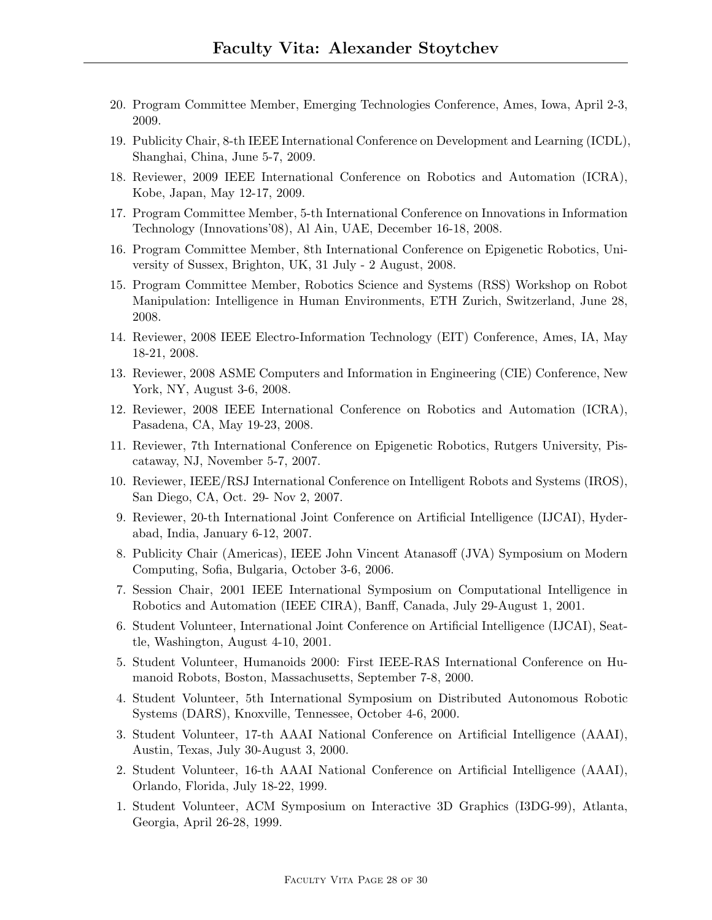- 20. Program Committee Member, Emerging Technologies Conference, Ames, Iowa, April 2-3, 2009.
- 19. Publicity Chair, 8-th IEEE International Conference on Development and Learning (ICDL), Shanghai, China, June 5-7, 2009.
- 18. Reviewer, 2009 IEEE International Conference on Robotics and Automation (ICRA), Kobe, Japan, May 12-17, 2009.
- 17. Program Committee Member, 5-th International Conference on Innovations in Information Technology (Innovations'08), Al Ain, UAE, December 16-18, 2008.
- 16. Program Committee Member, 8th International Conference on Epigenetic Robotics, University of Sussex, Brighton, UK, 31 July - 2 August, 2008.
- 15. Program Committee Member, Robotics Science and Systems (RSS) Workshop on Robot Manipulation: Intelligence in Human Environments, ETH Zurich, Switzerland, June 28, 2008.
- 14. Reviewer, 2008 IEEE Electro-Information Technology (EIT) Conference, Ames, IA, May 18-21, 2008.
- 13. Reviewer, 2008 ASME Computers and Information in Engineering (CIE) Conference, New York, NY, August 3-6, 2008.
- 12. Reviewer, 2008 IEEE International Conference on Robotics and Automation (ICRA), Pasadena, CA, May 19-23, 2008.
- 11. Reviewer, 7th International Conference on Epigenetic Robotics, Rutgers University, Piscataway, NJ, November 5-7, 2007.
- 10. Reviewer, IEEE/RSJ International Conference on Intelligent Robots and Systems (IROS), San Diego, CA, Oct. 29- Nov 2, 2007.
- 9. Reviewer, 20-th International Joint Conference on Artificial Intelligence (IJCAI), Hyderabad, India, January 6-12, 2007.
- 8. Publicity Chair (Americas), IEEE John Vincent Atanasoff (JVA) Symposium on Modern Computing, Sofia, Bulgaria, October 3-6, 2006.
- 7. Session Chair, 2001 IEEE International Symposium on Computational Intelligence in Robotics and Automation (IEEE CIRA), Banff, Canada, July 29-August 1, 2001.
- 6. Student Volunteer, International Joint Conference on Artificial Intelligence (IJCAI), Seattle, Washington, August 4-10, 2001.
- 5. Student Volunteer, Humanoids 2000: First IEEE-RAS International Conference on Humanoid Robots, Boston, Massachusetts, September 7-8, 2000.
- 4. Student Volunteer, 5th International Symposium on Distributed Autonomous Robotic Systems (DARS), Knoxville, Tennessee, October 4-6, 2000.
- 3. Student Volunteer, 17-th AAAI National Conference on Artificial Intelligence (AAAI), Austin, Texas, July 30-August 3, 2000.
- 2. Student Volunteer, 16-th AAAI National Conference on Artificial Intelligence (AAAI), Orlando, Florida, July 18-22, 1999.
- 1. Student Volunteer, ACM Symposium on Interactive 3D Graphics (I3DG-99), Atlanta, Georgia, April 26-28, 1999.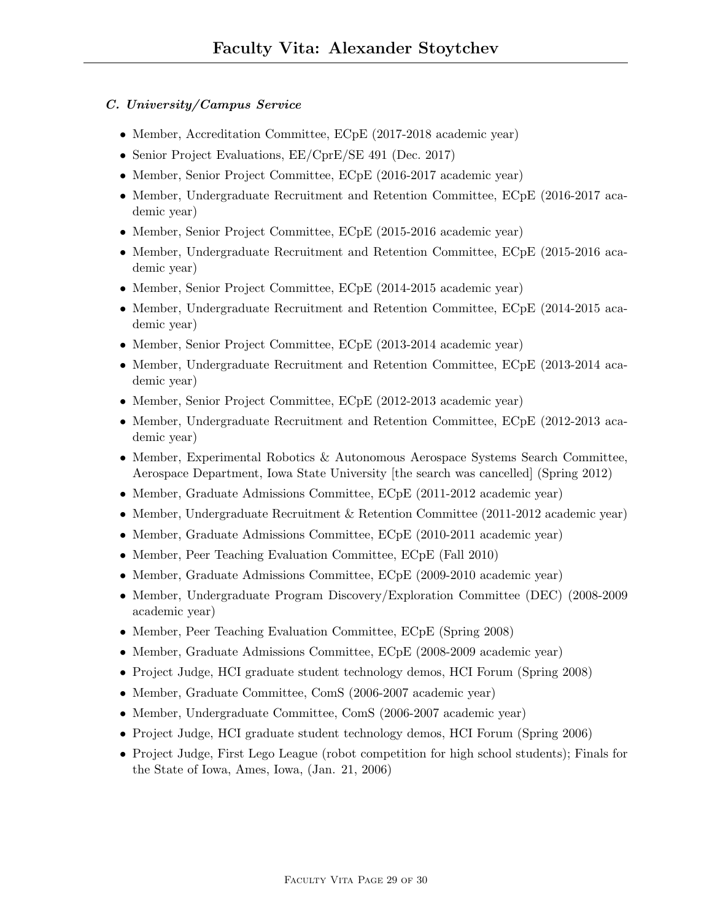## C. University/Campus Service

- Member, Accreditation Committee, ECpE (2017-2018 academic year)
- Senior Project Evaluations,  $EE/CprE/SE$  491 (Dec. 2017)
- Member, Senior Project Committee, ECpE (2016-2017 academic year)
- Member, Undergraduate Recruitment and Retention Committee, ECpE (2016-2017 academic year)
- Member, Senior Project Committee, ECpE (2015-2016 academic year)
- Member, Undergraduate Recruitment and Retention Committee, ECpE (2015-2016 academic year)
- Member, Senior Project Committee, ECpE (2014-2015 academic year)
- Member, Undergraduate Recruitment and Retention Committee, ECpE (2014-2015 academic year)
- Member, Senior Project Committee, ECpE (2013-2014 academic year)
- Member, Undergraduate Recruitment and Retention Committee, ECpE (2013-2014 academic year)
- Member, Senior Project Committee, ECpE (2012-2013 academic year)
- Member, Undergraduate Recruitment and Retention Committee, ECpE (2012-2013 academic year)
- Member, Experimental Robotics & Autonomous Aerospace Systems Search Committee, Aerospace Department, Iowa State University [the search was cancelled] (Spring 2012)
- Member, Graduate Admissions Committee, ECpE (2011-2012 academic year)
- Member, Undergraduate Recruitment & Retention Committee (2011-2012 academic year)
- Member, Graduate Admissions Committee, ECpE (2010-2011 academic year)
- Member, Peer Teaching Evaluation Committee, ECpE (Fall 2010)
- Member, Graduate Admissions Committee, ECpE (2009-2010 academic year)
- Member, Undergraduate Program Discovery/Exploration Committee (DEC) (2008-2009 academic year)
- Member, Peer Teaching Evaluation Committee, ECpE (Spring 2008)
- Member, Graduate Admissions Committee, ECpE (2008-2009 academic year)
- Project Judge, HCI graduate student technology demos, HCI Forum (Spring 2008)
- Member, Graduate Committee, ComS (2006-2007 academic year)
- Member, Undergraduate Committee, ComS (2006-2007 academic year)
- Project Judge, HCI graduate student technology demos, HCI Forum (Spring 2006)
- Project Judge, First Lego League (robot competition for high school students); Finals for the State of Iowa, Ames, Iowa, (Jan. 21, 2006)